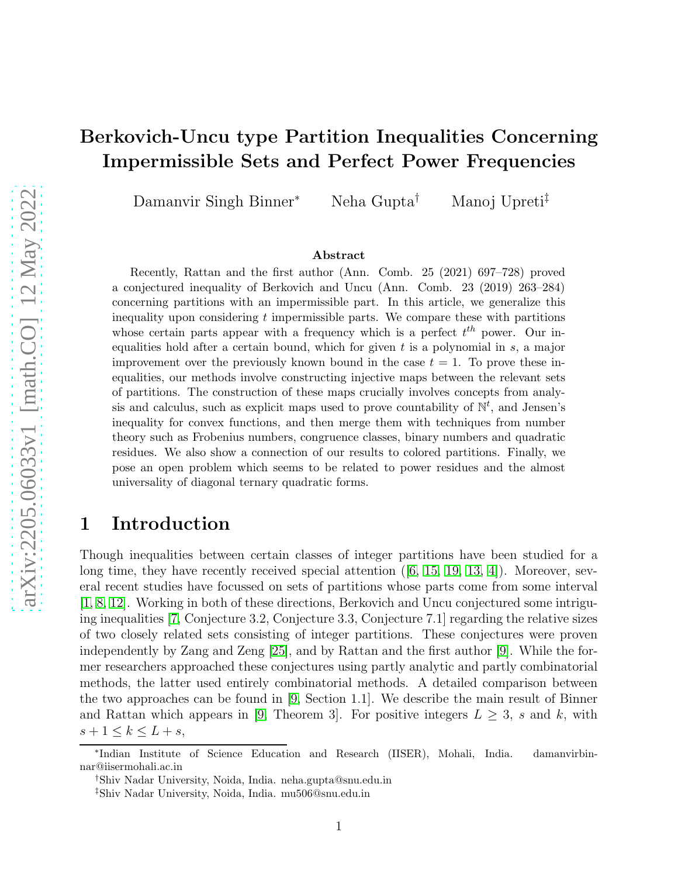# Berkovich-Uncu type Partition Inequalities Concerning Impermissible Sets and Perfect Power Frequencies

Damanvir Singh Binner<sup>∗</sup> Neha Gupta† Manoj Upreti‡

#### Abstract

Recently, Rattan and the first author (Ann. Comb. 25 (2021) 697–728) proved a conjectured inequality of Berkovich and Uncu (Ann. Comb. 23 (2019) 263–284) concerning partitions with an impermissible part. In this article, we generalize this inequality upon considering  $t$  impermissible parts. We compare these with partitions whose certain parts appear with a frequency which is a perfect  $t^{th}$  power. Our inequalities hold after a certain bound, which for given  $t$  is a polynomial in  $s$ , a major improvement over the previously known bound in the case  $t = 1$ . To prove these inequalities, our methods involve constructing injective maps between the relevant sets of partitions. The construction of these maps crucially involves concepts from analysis and calculus, such as explicit maps used to prove countability of  $\mathbb{N}^t$ , and Jensen's inequality for convex functions, and then merge them with techniques from number theory such as Frobenius numbers, congruence classes, binary numbers and quadratic residues. We also show a connection of our results to colored partitions. Finally, we pose an open problem which seems to be related to power residues and the almost universality of diagonal ternary quadratic forms.

#### <span id="page-0-0"></span>1 Introduction

Though inequalities between certain classes of integer partitions have been studied for a longtime, they have recently received special attention  $([6, 15, 19, 13, 4])$  $([6, 15, 19, 13, 4])$  $([6, 15, 19, 13, 4])$  $([6, 15, 19, 13, 4])$  $([6, 15, 19, 13, 4])$  $([6, 15, 19, 13, 4])$  $([6, 15, 19, 13, 4])$ . Moreover, several recent studies have focussed on sets of partitions whose parts come from some interval [\[1,](#page-20-3) [8,](#page-20-4) [12\]](#page-20-5). Working in both of these directions, Berkovich and Uncu conjectured some intriguing inequalities [\[7,](#page-20-6) Conjecture 3.2, Conjecture 3.3, Conjecture 7.1] regarding the relative sizes of two closely related sets consisting of integer partitions. These conjectures were proven independently by Zang and Zeng [\[25\]](#page-21-2), and by Rattan and the first author [\[9\]](#page-20-7). While the former researchers approached these conjectures using partly analytic and partly combinatorial methods, the latter used entirely combinatorial methods. A detailed comparison between the two approaches can be found in [\[9,](#page-20-7) Section 1.1]. We describe the main result of Binner and Rattan which appears in [\[9,](#page-20-7) Theorem 3]. For positive integers  $L \geq 3$ , s and k, with  $s+1 \leq k \leq L+s$ ,

<sup>∗</sup> Indian Institute of Science Education and Research (IISER), Mohali, India. damanvirbinnar@iisermohali.ac.in

<sup>†</sup>Shiv Nadar University, Noida, India. neha.gupta@snu.edu.in

<sup>‡</sup>Shiv Nadar University, Noida, India. mu506@snu.edu.in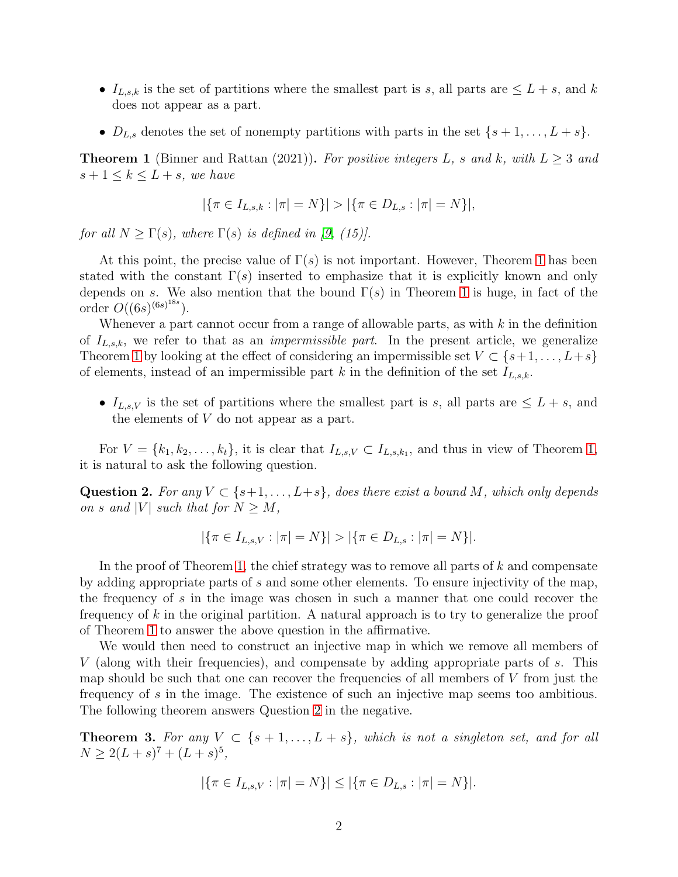- $I_{L,s,k}$  is the set of partitions where the smallest part is s, all parts are  $\leq L+s$ , and k does not appear as a part.
- $D_{L,s}$  denotes the set of nonempty partitions with parts in the set  $\{s+1,\ldots,L+s\}$ .

<span id="page-1-0"></span>**Theorem 1** (Binner and Rattan (2021)). For positive integers L, s and k, with  $L > 3$  and  $s+1 \leq k \leq L+s$ , we have

$$
|\{\pi \in I_{L,s,k} : |\pi| = N\}| > |\{\pi \in D_{L,s} : |\pi| = N\}|,
$$

for all  $N \geq \Gamma(s)$ , where  $\Gamma(s)$  is defined in [\[9,](#page-20-7) (15)].

At this point, the precise value of  $\Gamma(s)$  is not important. However, Theorem [1](#page-1-0) has been stated with the constant  $\Gamma(s)$  inserted to emphasize that it is explicitly known and only depends on s. We also mention that the bound  $\Gamma(s)$  in Theorem [1](#page-1-0) is huge, in fact of the order  $O((6s)^{(6s)^{18s}})$ .

Whenever a part cannot occur from a range of allowable parts, as with  $k$  in the definition of  $I_{L,s,k}$ , we refer to that as an *impermissible part*. In the present article, we generalize Theorem [1](#page-1-0) by looking at the effect of considering an impermissible set  $V \subset \{s+1,\ldots,L+s\}$ of elements, instead of an impermissible part k in the definition of the set  $I_{L,s,k}$ .

•  $I_{L,s,V}$  is the set of partitions where the smallest part is s, all parts are  $\leq L+s$ , and the elements of V do not appear as a part.

For  $V = \{k_1, k_2, \ldots, k_t\}$ , it is clear that  $I_{L,s,V} \subset I_{L,s,k_1}$ , and thus in view of Theorem [1,](#page-1-0) it is natural to ask the following question.

<span id="page-1-1"></span>Question 2. For any  $V \subset \{s+1,\ldots,L+s\}$ , does there exist a bound M, which only depends on s and |V| such that for  $N \geq M$ ,

$$
|\{\pi \in I_{L,s,V}: |\pi| = N\}| > |\{\pi \in D_{L,s}: |\pi| = N\}|.
$$

In the proof of Theorem [1,](#page-1-0) the chief strategy was to remove all parts of  $k$  and compensate by adding appropriate parts of s and some other elements. To ensure injectivity of the map, the frequency of s in the image was chosen in such a manner that one could recover the frequency of  $k$  in the original partition. A natural approach is to try to generalize the proof of Theorem [1](#page-1-0) to answer the above question in the affirmative.

We would then need to construct an injective map in which we remove all members of V (along with their frequencies), and compensate by adding appropriate parts of s. This map should be such that one can recover the frequencies of all members of  $V$  from just the frequency of s in the image. The existence of such an injective map seems too ambitious. The following theorem answers Question [2](#page-1-1) in the negative.

<span id="page-1-2"></span>**Theorem 3.** For any  $V \subset \{s+1,\ldots,L+s\}$ , which is not a singleton set, and for all  $N \geq 2(L+s)^7 + (L+s)^5$ ,

$$
|\{\pi \in I_{L,s,V} : |\pi| = N\}| \le |\{\pi \in D_{L,s} : |\pi| = N\}|.
$$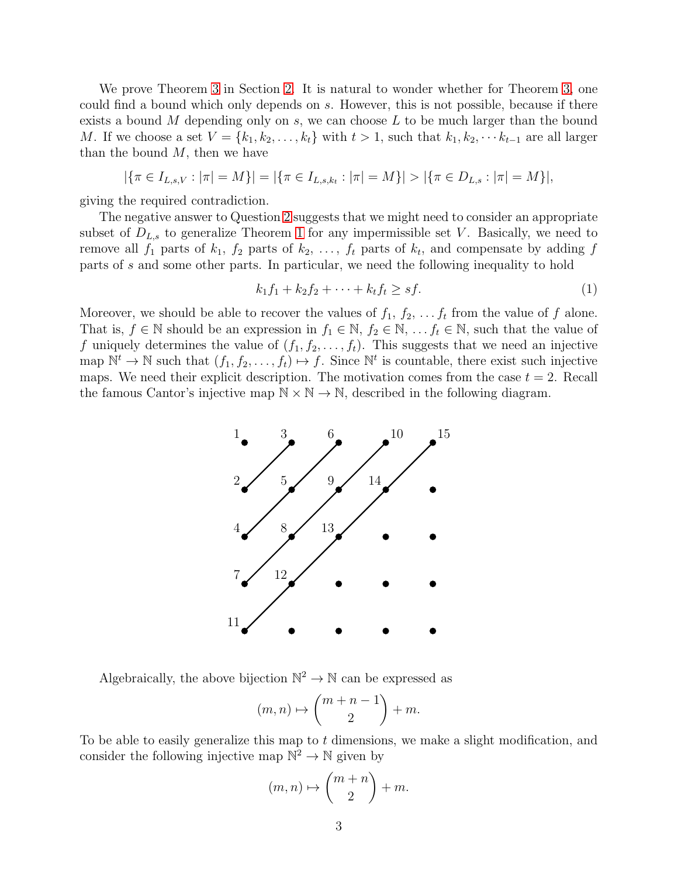We prove Theorem [3](#page-1-2) in Section [2.](#page-6-0) It is natural to wonder whether for Theorem [3,](#page-1-2) one could find a bound which only depends on s. However, this is not possible, because if there exists a bound  $M$  depending only on  $s$ , we can choose  $L$  to be much larger than the bound M. If we choose a set  $V = \{k_1, k_2, \ldots, k_t\}$  with  $t > 1$ , such that  $k_1, k_2, \cdots k_{t-1}$  are all larger than the bound  $M$ , then we have

$$
|\{\pi \in I_{L,s,V}: |\pi| = M\}| = |\{\pi \in I_{L,s,k_t}: |\pi| = M\}| > |\{\pi \in D_{L,s}: |\pi| = M\}|,
$$

giving the required contradiction.

The negative answer to Question [2](#page-1-1) suggests that we might need to consider an appropriate subset of  $D_{L,s}$  to generalize Theorem [1](#page-1-0) for any impermissible set V. Basically, we need to remove all  $f_1$  parts of  $k_1$ ,  $f_2$  parts of  $k_2$ , ...,  $f_t$  parts of  $k_t$ , and compensate by adding  $f$ parts of s and some other parts. In particular, we need the following inequality to hold

<span id="page-2-0"></span>
$$
k_1 f_1 + k_2 f_2 + \dots + k_t f_t \ge sf. \tag{1}
$$

Moreover, we should be able to recover the values of  $f_1, f_2, \ldots, f_t$  from the value of f alone. That is,  $f \in \mathbb{N}$  should be an expression in  $f_1 \in \mathbb{N}$ ,  $f_2 \in \mathbb{N}$ , ...  $f_t \in \mathbb{N}$ , such that the value of f uniquely determines the value of  $(f_1, f_2, \ldots, f_t)$ . This suggests that we need an injective map  $\mathbb{N}^t \to \mathbb{N}$  such that  $(f_1, f_2, \ldots, f_t) \mapsto f$ . Since  $\mathbb{N}^t$  is countable, there exist such injective maps. We need their explicit description. The motivation comes from the case  $t = 2$ . Recall the famous Cantor's injective map  $\mathbb{N} \times \mathbb{N} \to \mathbb{N}$ , described in the following diagram.



Algebraically, the above bijection  $\mathbb{N}^2 \to \mathbb{N}$  can be expressed as

$$
(m,n)\mapsto \binom{m+n-1}{2}+m.
$$

To be able to easily generalize this map to  $t$  dimensions, we make a slight modification, and consider the following injective map  $\mathbb{N}^2 \to \mathbb{N}$  given by

$$
(m,n)\mapsto \binom{m+n}{2}+m.
$$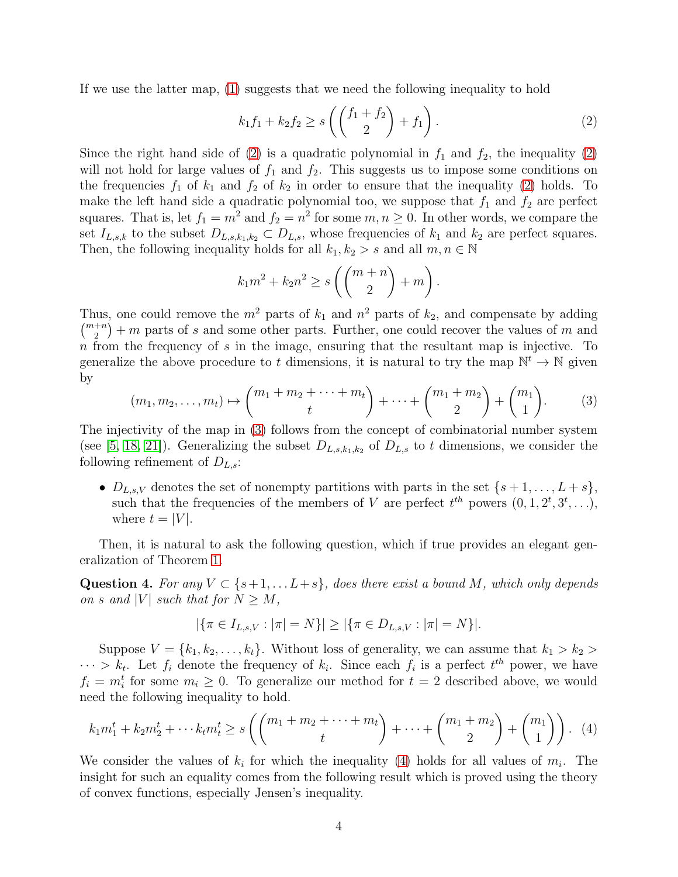If we use the latter map, [\(1\)](#page-2-0) suggests that we need the following inequality to hold

<span id="page-3-0"></span>
$$
k_1 f_1 + k_2 f_2 \ge s \left( \binom{f_1 + f_2}{2} + f_1 \right). \tag{2}
$$

Since the right hand side of [\(2\)](#page-3-0) is a quadratic polynomial in  $f_1$  and  $f_2$ , the inequality (2) will not hold for large values of  $f_1$  and  $f_2$ . This suggests us to impose some conditions on the frequencies  $f_1$  of  $k_1$  and  $f_2$  of  $k_2$  in order to ensure that the inequality [\(2\)](#page-3-0) holds. To make the left hand side a quadratic polynomial too, we suppose that  $f_1$  and  $f_2$  are perfect squares. That is, let  $f_1 = m^2$  and  $f_2 = n^2$  for some  $m, n \ge 0$ . In other words, we compare the set  $I_{L,s,k}$  to the subset  $D_{L,s,k_1,k_2} \subset D_{L,s}$ , whose frequencies of  $k_1$  and  $k_2$  are perfect squares. Then, the following inequality holds for all  $k_1, k_2 > s$  and all  $m, n \in \mathbb{N}$ 

$$
k_1m^2 + k_2n^2 \ge s\left(\binom{m+n}{2} + m\right).
$$

Thus, one could remove the  $m^2$  parts of  $k_1$  and  $n^2$  parts of  $k_2$ , and compensate by adding  $\binom{m+n}{2} + m$  parts of s and some other parts. Further, one could recover the values of m and  $n$  from the frequency of  $s$  in the image, ensuring that the resultant map is injective. To generalize the above procedure to t dimensions, it is natural to try the map  $\mathbb{N}^t \to \mathbb{N}$  given by

<span id="page-3-1"></span>
$$
(m_1, m_2, \dots, m_t) \mapsto {m_1 + m_2 + \dots + m_t \choose t} + \dots + {m_1 + m_2 \choose 2} + {m_1 \choose 1}. \tag{3}
$$

The injectivity of the map in [\(3\)](#page-3-1) follows from the concept of combinatorial number system (see [\[5,](#page-20-8) [18,](#page-21-3) [21\]](#page-21-4)). Generalizing the subset  $D_{L,s,k_1,k_2}$  of  $D_{L,s}$  to t dimensions, we consider the following refinement of  $D_{L,s}$ :

•  $D_{L,s,V}$  denotes the set of nonempty partitions with parts in the set  $\{s+1,\ldots,L+s\},\$ such that the frequencies of the members of V are perfect  $t^{th}$  powers  $(0, 1, 2^t, 3^t, \ldots)$ , where  $t = |V|$ .

Then, it is natural to ask the following question, which if true provides an elegant generalization of Theorem [1.](#page-1-0)

<span id="page-3-3"></span>Question 4. For any  $V \subset \{s+1, \ldots L+s\}$ , does there exist a bound M, which only depends on s and |V| such that for  $N \geq M$ ,

$$
|\{\pi \in I_{L,s,V}: |\pi| = N\}| \ge |\{\pi \in D_{L,s,V}: |\pi| = N\}|.
$$

Suppose  $V = \{k_1, k_2, \ldots, k_t\}$ . Without loss of generality, we can assume that  $k_1 > k_2 >$  $\cdots > k_t$ . Let  $f_i$  denote the frequency of  $k_i$ . Since each  $f_i$  is a perfect  $t^{th}$  power, we have  $f_i = m_i^t$  for some  $m_i \geq 0$ . To generalize our method for  $t = 2$  described above, we would need the following inequality to hold.

<span id="page-3-2"></span>
$$
k_1 m_1^t + k_2 m_2^t + \dots + k_t m_t^t \ge s \left( \binom{m_1 + m_2 + \dots + m_t}{t} + \dots + \binom{m_1 + m_2}{2} + \binom{m_1}{1} \right). \tag{4}
$$

We consider the values of  $k_i$  for which the inequality [\(4\)](#page-3-2) holds for all values of  $m_i$ . The insight for such an equality comes from the following result which is proved using the theory of convex functions, especially Jensen's inequality.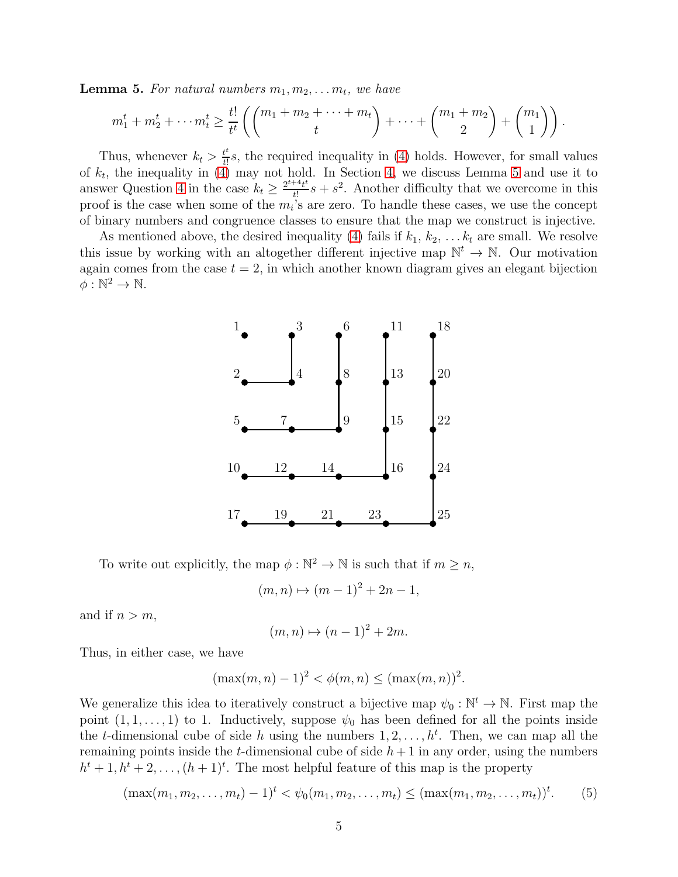<span id="page-4-0"></span>**Lemma 5.** For natural numbers  $m_1, m_2, \ldots m_t$ , we have

$$
m_1^t + m_2^t + \dots + m_t^t \ge \frac{t!}{t^t} \left( \binom{m_1 + m_2 + \dots + m_t}{t} + \dots + \binom{m_1 + m_2}{2} + \binom{m_1}{1} \right).
$$

Thus, whenever  $k_t > \frac{t^t}{t!} s$ , the required inequality in [\(4\)](#page-3-2) holds. However, for small values of  $k_t$ , the inequality in [\(4\)](#page-3-2) may not hold. In Section [4,](#page-14-0) we discuss Lemma [5](#page-4-0) and use it to answer Question [4](#page-3-3) in the case  $k_t \geq \frac{2^{t+4}t^t}{t^t}$  $t^{\frac{4+t}{t}}s + s^2$ . Another difficulty that we overcome in this proof is the case when some of the  $m_i$ 's are zero. To handle these cases, we use the concept of binary numbers and congruence classes to ensure that the map we construct is injective.

As mentioned above, the desired inequality [\(4\)](#page-3-2) fails if  $k_1, k_2, \ldots k_t$  are small. We resolve this issue by working with an altogether different injective map  $\mathbb{N}^t \to \mathbb{N}$ . Our motivation again comes from the case  $t = 2$ , in which another known diagram gives an elegant bijection  $\phi: \mathbb{N}^2 \to \mathbb{N}.$ 



To write out explicitly, the map  $\phi : \mathbb{N}^2 \to \mathbb{N}$  is such that if  $m \geq n$ ,

$$
(m, n) \mapsto (m - 1)^2 + 2n - 1,
$$

and if  $n > m$ ,

$$
(m, n) \mapsto (n-1)^2 + 2m.
$$

Thus, in either case, we have

$$
(\max(m, n) - 1)^2 < \phi(m, n) \le (\max(m, n))^2.
$$

We generalize this idea to iteratively construct a bijective map  $\psi_0 : \mathbb{N}^t \to \mathbb{N}$ . First map the point  $(1, 1, \ldots, 1)$  to 1. Inductively, suppose  $\psi_0$  has been defined for all the points inside the *t*-dimensional cube of side h using the numbers  $1, 2, \ldots, h^t$ . Then, we can map all the remaining points inside the t-dimensional cube of side  $h + 1$  in any order, using the numbers  $h^{t} + 1, h^{t} + 2, \ldots, (h + 1)^{t}$ . The most helpful feature of this map is the property

$$
(\max(m_1, m_2, \dots, m_t) - 1)^t < \psi_0(m_1, m_2, \dots, m_t) \leq (\max(m_1, m_2, \dots, m_t))^t.
$$
 (5)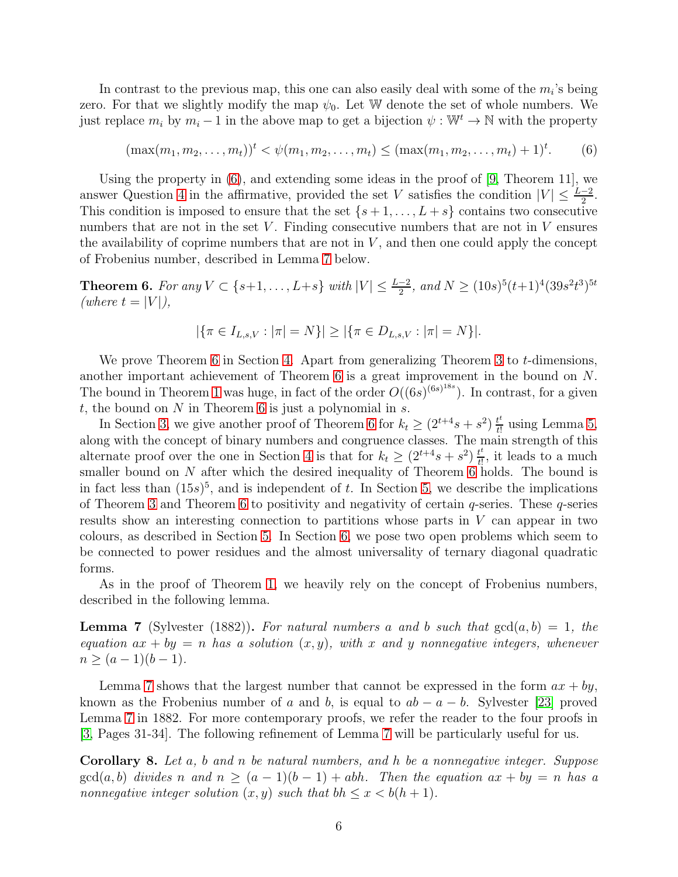In contrast to the previous map, this one can also easily deal with some of the  $m_i$ 's being zero. For that we slightly modify the map  $\psi_0$ . Let W denote the set of whole numbers. We just replace  $m_i$  by  $m_i - 1$  in the above map to get a bijection  $\psi : \mathbb{W}^t \to \mathbb{N}$  with the property

<span id="page-5-0"></span>
$$
(\max(m_1, m_2, \dots, m_t))^t < \psi(m_1, m_2, \dots, m_t) \le (\max(m_1, m_2, \dots, m_t) + 1)^t. \tag{6}
$$

Using the property in [\(6\)](#page-5-0), and extending some ideas in the proof of [\[9,](#page-20-7) Theorem 11], we answer Question [4](#page-3-3) in the affirmative, provided the set V satisfies the condition  $|V| \leq \frac{L-2}{2}$ . This condition is imposed to ensure that the set  $\{s+1,\ldots,L+s\}$  contains two consecutive numbers that are not in the set  $V$ . Finding consecutive numbers that are not in  $V$  ensures the availability of coprime numbers that are not in  $V$ , and then one could apply the concept of Frobenius number, described in Lemma [7](#page-5-1) below.

<span id="page-5-2"></span>**Theorem 6.** For any  $V \subset \{s+1,\ldots,L+s\}$  with  $|V| \leq \frac{L-2}{2}$ , and  $N \geq (10s)^5(t+1)^4(39s^2t^3)^{5t}$ (where  $t = |V|$ ),

$$
|\{\pi \in I_{L,s,V}: |\pi| = N\}| \ge |\{\pi \in D_{L,s,V}: |\pi| = N\}|.
$$

We prove Theorem [6](#page-5-2) in Section [4.](#page-14-0) Apart from generalizing Theorem [3](#page-1-2) to  $t$ -dimensions, another important achievement of Theorem [6](#page-5-2) is a great improvement in the bound on N. The bound in Theorem [1](#page-1-0) was huge, in fact of the order  $O((6s)^{(6s)^{18s}})$ . In contrast, for a given t, the bound on  $N$  in Theorem [6](#page-5-2) is just a polynomial in  $s$ .

In Section [3,](#page-9-0) we give another proof of Theorem [6](#page-5-2) for  $k_t \geq (2^{t+4}s + s^2) \frac{t^t}{t!}$  $\frac{t^i}{t!}$  using Lemma [5,](#page-4-0) along with the concept of binary numbers and congruence classes. The main strength of this alternate proof over the one in Section [4](#page-14-0) is that for  $k_t \geq (2^{t+4}s + s^2) \frac{t^2}{t!}$  $t_{\text{t}}^{t}$ , it leads to a much smaller bound on N after which the desired inequality of Theorem [6](#page-5-2) holds. The bound is in fact less than  $(15s)^5$ , and is independent of t. In Section [5,](#page-17-0) we describe the implications of Theorem [3](#page-1-2) and Theorem [6](#page-5-2) to positivity and negativity of certain  $q$ -series. These  $q$ -series results show an interesting connection to partitions whose parts in  $V$  can appear in two colours, as described in Section [5.](#page-17-0) In Section [6,](#page-18-0) we pose two open problems which seem to be connected to power residues and the almost universality of ternary diagonal quadratic forms.

As in the proof of Theorem [1,](#page-1-0) we heavily rely on the concept of Frobenius numbers, described in the following lemma.

<span id="page-5-1"></span>**Lemma 7** (Sylvester (1882)). For natural numbers a and b such that  $gcd(a, b) = 1$ , the equation  $ax + by = n$  has a solution  $(x, y)$ , with x and y nonnegative integers, whenever  $n \geq (a-1)(b-1).$ 

Lemma [7](#page-5-1) shows that the largest number that cannot be expressed in the form  $ax + by$ , known as the Frobenius number of a and b, is equal to  $ab - a - b$ . Sylvester [\[23\]](#page-21-5) proved Lemma [7](#page-5-1) in 1882. For more contemporary proofs, we refer the reader to the four proofs in [\[3,](#page-20-9) Pages 31-34]. The following refinement of Lemma [7](#page-5-1) will be particularly useful for us.

<span id="page-5-3"></span>Corollary 8. Let a, b and n be natural numbers, and h be a nonnegative integer. Suppose  $gcd(a, b)$  divides n and  $n \ge (a - 1)(b - 1) + abh$ . Then the equation  $ax + by = n$  has a nonnegative integer solution  $(x, y)$  such that  $bh \leq x < b(h + 1)$ .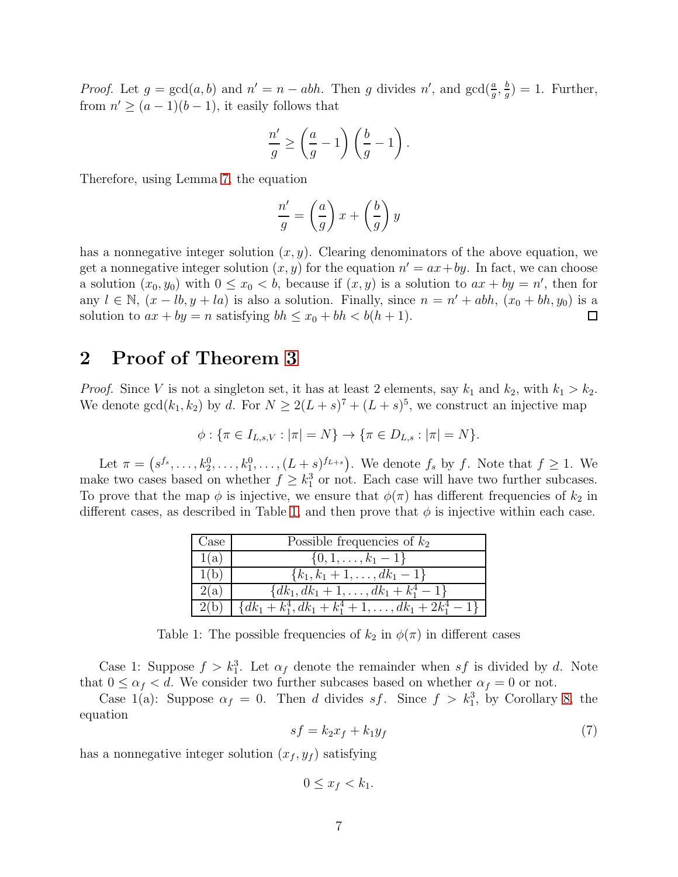*Proof.* Let  $g = \gcd(a, b)$  and  $n' = n - abh$ . Then g divides n', and  $\gcd(\frac{a}{g}, \frac{b}{g})$  $\frac{b}{g}$ ) = 1. Further, from  $n' \ge (a-1)(b-1)$ , it easily follows that

$$
\frac{n'}{g} \ge \left(\frac{a}{g} - 1\right) \left(\frac{b}{g} - 1\right).
$$

Therefore, using Lemma [7,](#page-5-1) the equation

$$
\frac{n'}{g} = \left(\frac{a}{g}\right)x + \left(\frac{b}{g}\right)y
$$

has a nonnegative integer solution  $(x, y)$ . Clearing denominators of the above equation, we get a nonnegative integer solution  $(x, y)$  for the equation  $n' = ax + by$ . In fact, we can choose a solution  $(x_0, y_0)$  with  $0 \le x_0 < b$ , because if  $(x, y)$  is a solution to  $ax + by = n'$ , then for any  $l \in \mathbb{N}$ ,  $(x - lb, y + la)$  is also a solution. Finally, since  $n = n' + abh$ ,  $(x_0 + bh, y_0)$  is a solution to  $ax + by = n$  satisfying  $bh \le x_0 + bh < b(h + 1)$ .  $\Box$ 

### <span id="page-6-0"></span>2 Proof of Theorem [3](#page-1-2)

*Proof.* Since V is not a singleton set, it has at least 2 elements, say  $k_1$  and  $k_2$ , with  $k_1 > k_2$ . We denote  $gcd(k_1, k_2)$  by d. For  $N \geq 2(L+s)^7 + (L+s)^5$ , we construct an injective map

$$
\phi: \{\pi \in I_{L,s,V}: |\pi| = N\} \to \{\pi \in D_{L,s}: |\pi| = N\}.
$$

Let  $\pi = (s^{f_s}, \ldots, k_2^0, \ldots, k_1^0, \ldots, (L + s)^{f_{L+s}})$ . We denote  $f_s$  by f. Note that  $f \geq 1$ . We make two cases based on whether  $f \geq k_1^3$  or not. Each case will have two further subcases. To prove that the map  $\phi$  is injective, we ensure that  $\phi(\pi)$  has different frequencies of  $k_2$  in different cases, as described in Table [1,](#page-6-1) and then prove that  $\phi$  is injective within each case.

| Case | Possible frequencies of $k_2$                           |
|------|---------------------------------------------------------|
| 1(a) | $\{0, 1, \ldots, k_1 - 1\}$                             |
| 1(b) | $\{k_1, k_1+1, \ldots, dk_1-1\}$                        |
| 2(a) | $\{dk_1, dk_1 + 1, \ldots, dk_1 + k_1^4 - 1\}$          |
| 2(b) | ${dk_1 + k_1^4, dk_1 + k_1^4 + 1, , dk_1 + 2k_1^4 - 1}$ |

<span id="page-6-1"></span>Table 1: The possible frequencies of  $k_2$  in  $\phi(\pi)$  in different cases

Case 1: Suppose  $f > k_1^3$ . Let  $\alpha_f$  denote the remainder when  $sf$  is divided by d. Note that  $0 \leq \alpha_f < d$ . We consider two further subcases based on whether  $\alpha_f = 0$  or not.

Case 1(a): Suppose  $\alpha_f = 0$ . Then d divides sf. Since  $f > k_1^3$ , by Corollary [8,](#page-5-3) the equation

<span id="page-6-2"></span>
$$
sf = k_2x_f + k_1y_f \tag{7}
$$

has a nonnegative integer solution  $(x_f, y_f)$  satisfying

$$
0 \le x_f < k_1.
$$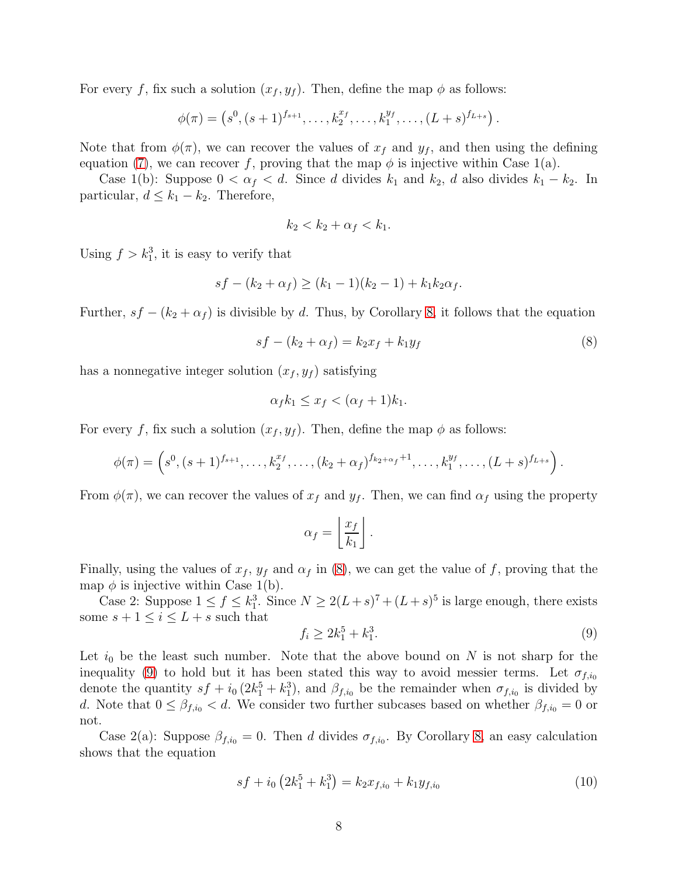For every f, fix such a solution  $(x_f, y_f)$ . Then, define the map  $\phi$  as follows:

 $\phi(\pi) = \left(s^0, (s+1)^{f_{s+1}}, \ldots, k_2^{x_f}, \ldots, k_1^{y_f}, \ldots, (L+s)^{f_{L+s}}\right).$ 

Note that from  $\phi(\pi)$ , we can recover the values of  $x_f$  and  $y_f$ , and then using the defining equation [\(7\)](#page-6-2), we can recover f, proving that the map  $\phi$  is injective within Case 1(a).

Case 1(b): Suppose  $0 < \alpha_f < d$ . Since d divides  $k_1$  and  $k_2$ , d also divides  $k_1 - k_2$ . In particular,  $d \leq k_1 - k_2$ . Therefore,

$$
k_2 < k_2 + \alpha_f < k_1.
$$

Using  $f > k_1^3$ , it is easy to verify that

$$
sf - (k_2 + \alpha_f) \ge (k_1 - 1)(k_2 - 1) + k_1 k_2 \alpha_f.
$$

Further,  $sf - (k_2 + \alpha_f)$  is divisible by d. Thus, by Corollary [8,](#page-5-3) it follows that the equation

<span id="page-7-0"></span>
$$
sf - (k_2 + \alpha_f) = k_2 x_f + k_1 y_f \tag{8}
$$

has a nonnegative integer solution  $(x_f, y_f)$  satisfying

$$
\alpha_f k_1 \le x_f < (\alpha_f + 1)k_1.
$$

For every f, fix such a solution  $(x_f, y_f)$ . Then, define the map  $\phi$  as follows:

$$
\phi(\pi) = \left(s^0, (s+1)^{f_{s+1}}, \ldots, k_2^{x_f}, \ldots, (k_2+\alpha_f)^{f_{k_2+\alpha_f}+1}, \ldots, k_1^{y_f}, \ldots, (L+s)^{f_{L+s}}\right).
$$

From  $\phi(\pi)$ , we can recover the values of  $x_f$  and  $y_f$ . Then, we can find  $\alpha_f$  using the property

$$
\alpha_f = \left\lfloor \frac{x_f}{k_1} \right\rfloor.
$$

Finally, using the values of  $x_f$ ,  $y_f$  and  $\alpha_f$  in [\(8\)](#page-7-0), we can get the value of f, proving that the map  $\phi$  is injective within Case 1(b).

Case 2: Suppose  $1 \le f \le k_1^3$ . Since  $N \ge 2(L+s)^7 + (L+s)^5$  is large enough, there exists some  $s + 1 \leq i \leq L + s$  such that

<span id="page-7-1"></span>
$$
f_i \ge 2k_1^5 + k_1^3. \tag{9}
$$

Let  $i_0$  be the least such number. Note that the above bound on N is not sharp for the inequality [\(9\)](#page-7-1) to hold but it has been stated this way to avoid messier terms. Let  $\sigma_{f,i_0}$ denote the quantity  $sf + i_0(2k_1^5 + k_1^3)$ , and  $\beta_{f,i_0}$  be the remainder when  $\sigma_{f,i_0}$  is divided by d. Note that  $0 \leq \beta_{f,i_0} < d$ . We consider two further subcases based on whether  $\beta_{f,i_0} = 0$  or not.

Case 2(a): Suppose  $\beta_{f,i_0} = 0$ . Then d divides  $\sigma_{f,i_0}$ . By Corollary [8,](#page-5-3) an easy calculation shows that the equation

<span id="page-7-2"></span>
$$
sf + i_0 \left(2k_1^5 + k_1^3\right) = k_2 x_{f,i_0} + k_1 y_{f,i_0} \tag{10}
$$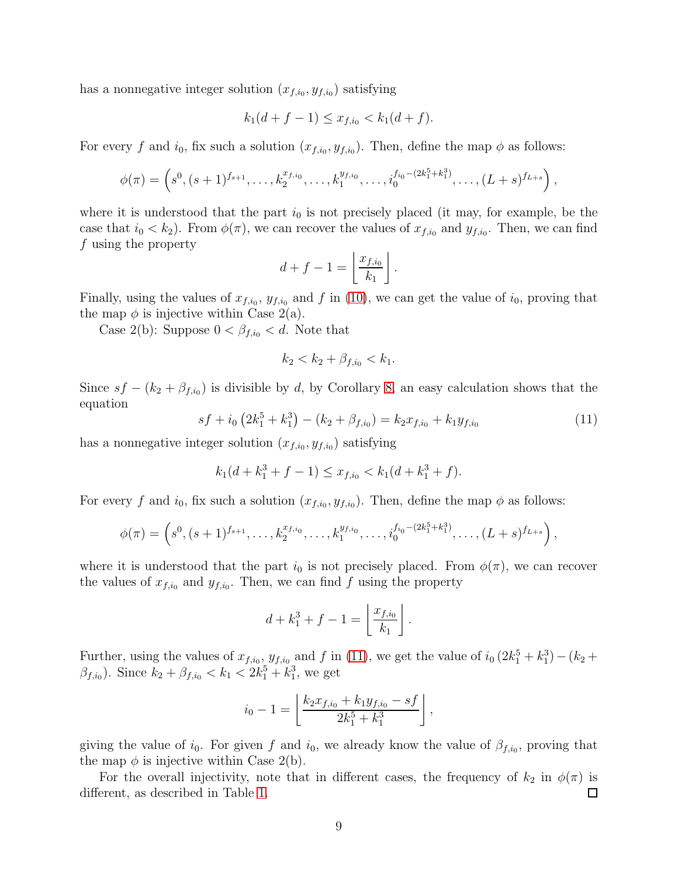has a nonnegative integer solution  $(x_{f,i_0}, y_{f,i_0})$  satisfying

$$
k_1(d+f-1) \le x_{f,i_0} < k_1(d+f).
$$

For every f and  $i_0$ , fix such a solution  $(x_{f,i_0}, y_{f,i_0})$ . Then, define the map  $\phi$  as follows:

$$
\phi(\pi) = \left(s^0, (s+1)^{f_{s+1}}, \ldots, k_2^{x_{f,i_0}}, \ldots, k_1^{y_{f,i_0}}, \ldots, i_0^{f_{i_0}-(2k_1^5+k_1^3)}, \ldots, (L+s)^{f_{L+s}}\right),
$$

where it is understood that the part  $i_0$  is not precisely placed (it may, for example, be the case that  $i_0 < k_2$ ). From  $\phi(\pi)$ , we can recover the values of  $x_{f,i_0}$  and  $y_{f,i_0}$ . Then, we can find f using the property

$$
d+f-1=\left\lfloor\frac{x_{f,i_0}}{k_1}\right\rfloor.
$$

Finally, using the values of  $x_{f,i_0}$ ,  $y_{f,i_0}$  and f in [\(10\)](#page-7-2), we can get the value of  $i_0$ , proving that the map  $\phi$  is injective within Case 2(a).

Case 2(b): Suppose  $0 < \beta_{f,i_0} < d$ . Note that

$$
k_2 < k_2 + \beta_{f,i_0} < k_1.
$$

Since  $sf - (k_2 + \beta_{f,i_0})$  is divisible by d, by Corollary [8,](#page-5-3) an easy calculation shows that the equation

<span id="page-8-0"></span>
$$
sf + i_0 (2k_1^5 + k_1^3) - (k_2 + \beta_{f,i_0}) = k_2 x_{f,i_0} + k_1 y_{f,i_0}
$$
\n(11)

has a nonnegative integer solution  $(x_{f,i_0}, y_{f,i_0})$  satisfying

$$
k_1(d + k_1^3 + f - 1) \le x_{f,i_0} < k_1(d + k_1^3 + f).
$$

For every f and  $i_0$ , fix such a solution  $(x_{f,i_0}, y_{f,i_0})$ . Then, define the map  $\phi$  as follows:

$$
\phi(\pi) = \left(s^0, (s+1)^{f_{s+1}}, \ldots, k_2^{x_{f,i_0}}, \ldots, k_1^{y_{f,i_0}}, \ldots, i_0^{f_{i_0}-(2k_1^5+k_1^3)}, \ldots, (L+s)^{f_{L+s}}\right),
$$

where it is understood that the part  $i_0$  is not precisely placed. From  $\phi(\pi)$ , we can recover the values of  $x_{f,i_0}$  and  $y_{f,i_0}$ . Then, we can find f using the property

$$
d + k_1^3 + f - 1 = \left\lfloor \frac{x_{f,i_0}}{k_1} \right\rfloor.
$$

Further, using the values of  $x_{f,i_0}$ ,  $y_{f,i_0}$  and f in [\(11\)](#page-8-0), we get the value of  $i_0(2k_1^5 + k_1^3) - (k_2 + k_2^3)$  $\beta_{f,i_0}$ ). Since  $k_2 + \beta_{f,i_0} < k_1 < 2k_1^5 + k_1^3$ , we get

$$
i_0 - 1 = \left\lfloor \frac{k_2 x_{f,i_0} + k_1 y_{f,i_0} - s f}{2k_1^5 + k_1^3} \right\rfloor,
$$

giving the value of  $i_0$ . For given f and  $i_0$ , we already know the value of  $\beta_{f,i_0}$ , proving that the map  $\phi$  is injective within Case 2(b).

For the overall injectivity, note that in different cases, the frequency of  $k_2$  in  $\phi(\pi)$  is different, as described in Table [1.](#page-6-1) 口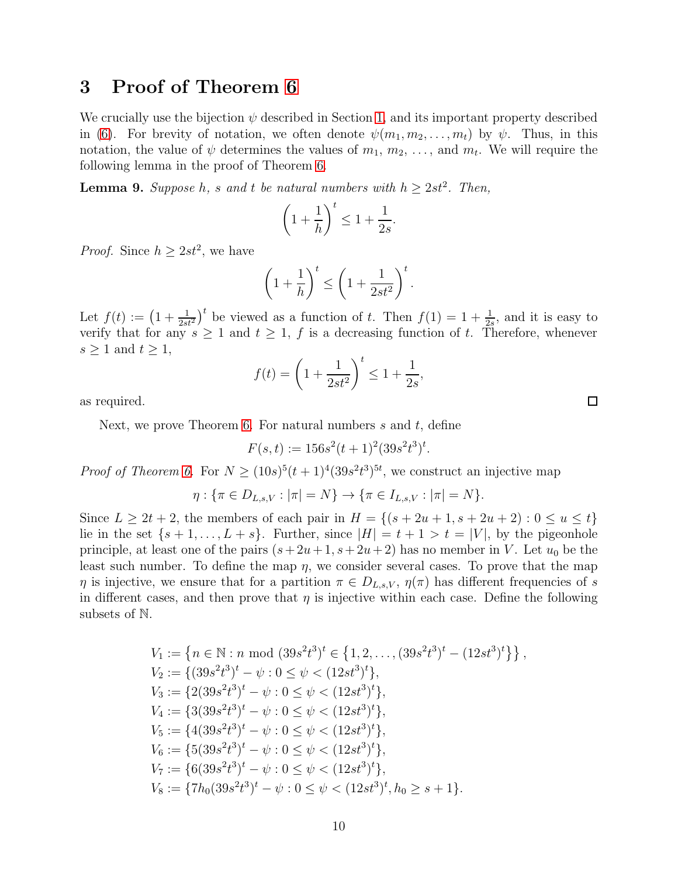### <span id="page-9-0"></span>3 Proof of Theorem [6](#page-5-2)

We crucially use the bijection  $\psi$  described in Section [1,](#page-0-0) and its important property described in [\(6\)](#page-5-0). For brevity of notation, we often denote  $\psi(m_1, m_2, \ldots, m_t)$  by  $\psi$ . Thus, in this notation, the value of  $\psi$  determines the values of  $m_1, m_2, \ldots$ , and  $m_t$ . We will require the following lemma in the proof of Theorem [6.](#page-5-2)

<span id="page-9-1"></span>**Lemma 9.** Suppose h, s and t be natural numbers with  $h \geq 2st^2$ . Then,

$$
\left(1+\frac{1}{h}\right)^t \le 1+\frac{1}{2s}.
$$

*Proof.* Since  $h \geq 2st^2$ , we have

$$
\left(1+\frac{1}{h}\right)^t \le \left(1+\frac{1}{2st^2}\right)^t.
$$

Let  $f(t) := \left(1 + \frac{1}{2st^2}\right)^t$  be viewed as a function of t. Then  $f(1) = 1 + \frac{1}{2s}$ , and it is easy to verify that for any  $s \geq 1$  and  $t \geq 1$ , f is a decreasing function of t. Therefore, whenever  $s \geq 1$  and  $t \geq 1$ ,

$$
f(t) = \left(1 + \frac{1}{2st^2}\right)^t \le 1 + \frac{1}{2s},
$$

as required.

Next, we prove Theorem [6.](#page-5-2) For natural numbers  $s$  and  $t$ , define

$$
F(s,t) := 156s^2(t+1)^2(39s^2t^3)^t.
$$

*Proof of Theorem [6.](#page-5-2)* For  $N \ge (10s)^5(t+1)^4(39s^2t^3)^{5t}$ , we construct an injective map

$$
\eta: \{\pi \in D_{L,s,V}: |\pi| = N\} \to \{\pi \in I_{L,s,V}: |\pi| = N\}.
$$

Since  $L \ge 2t + 2$ , the members of each pair in  $H = \{(s + 2u + 1, s + 2u + 2) : 0 \le u \le t\}$ lie in the set  $\{s+1,\ldots,L+s\}$ . Further, since  $|H|=t+1>t=|V|$ , by the pigeonhole principle, at least one of the pairs  $(s+2u+1, s+2u+2)$  has no member in V. Let  $u_0$  be the least such number. To define the map  $\eta$ , we consider several cases. To prove that the map  $\eta$  is injective, we ensure that for a partition  $\pi \in D_{L,s,V}, \eta(\pi)$  has different frequencies of s in different cases, and then prove that  $\eta$  is injective within each case. Define the following subsets of N.

$$
V_1 := \left\{ n \in \mathbb{N} : n \mod (39s^2t^3)^t \in \left\{ 1, 2, \ldots, (39s^2t^3)^t - (12st^3)^t \right\} \right\},
$$
  
\n
$$
V_2 := \left\{ (39s^2t^3)^t - \psi : 0 \le \psi < (12st^3)^t \right\},
$$
  
\n
$$
V_3 := \left\{ 2(39s^2t^3)^t - \psi : 0 \le \psi < (12st^3)^t \right\},
$$
  
\n
$$
V_4 := \left\{ 3(39s^2t^3)^t - \psi : 0 \le \psi < (12st^3)^t \right\},
$$
  
\n
$$
V_5 := \left\{ 4(39s^2t^3)^t - \psi : 0 \le \psi < (12st^3)^t \right\},
$$
  
\n
$$
V_6 := \left\{ 5(39s^2t^3)^t - \psi : 0 \le \psi < (12st^3)^t \right\},
$$
  
\n
$$
V_7 := \left\{ 6(39s^2t^3)^t - \psi : 0 \le \psi < (12st^3)^t \right\},
$$
  
\n
$$
V_8 := \left\{ 7h_0(39s^2t^3)^t - \psi : 0 \le \psi < (12st^3)^t, h_0 \ge s + 1 \right\}.
$$

 $\Box$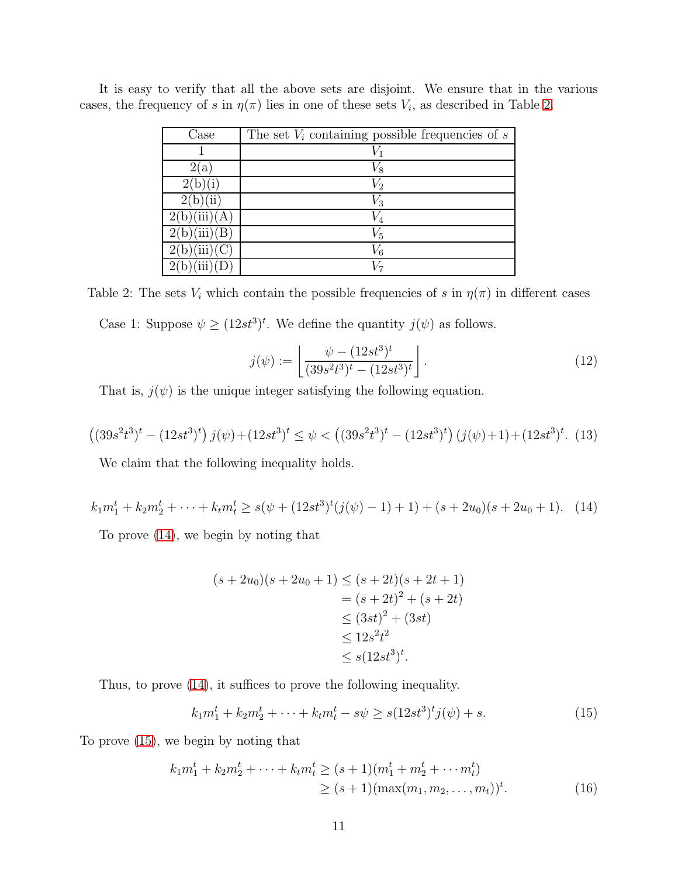| $\text{Case}$    | The set $V_i$ containing possible frequencies of s |
|------------------|----------------------------------------------------|
|                  |                                                    |
| 2(a)             | $V_8$                                              |
|                  | $\,V_2$                                            |
|                  | $V_3$                                              |
| 2(b)(iii)(A)     |                                                    |
| $(iii)$ (B       | $V_{\rm 5}$                                        |
| (iii)(C)         | $V_{6}$                                            |
| $\overline{iii}$ |                                                    |

It is easy to verify that all the above sets are disjoint. We ensure that in the various cases, the frequency of s in  $\eta(\pi)$  lies in one of these sets  $V_i$ , as described in Table [2.](#page-10-0)

<span id="page-10-0"></span>Table 2: The sets  $V_i$  which contain the possible frequencies of s in  $\eta(\pi)$  in different cases Case 1: Suppose  $\psi \geq (12st^3)^t$ . We define the quantity  $j(\psi)$  as follows.

$$
j(\psi) := \left\lfloor \frac{\psi - (12st^3)^t}{(39s^2t^3)^t - (12st^3)^t} \right\rfloor.
$$
 (12)

That is,  $j(\psi)$  is the unique integer satisfying the following equation.

<span id="page-10-4"></span>
$$
((39s^2t^3)^t - (12st^3)^t) j(\psi) + (12st^3)^t \le \psi < ((39s^2t^3)^t - (12st^3)^t) (j(\psi) + 1) + (12st^3)^t. (13)
$$

We claim that the following inequality holds.

<span id="page-10-1"></span>
$$
k_1 m_1^t + k_2 m_2^t + \dots + k_t m_t^t \ge s(\psi + (12st^3)^t(j(\psi) - 1) + 1) + (s + 2u_0)(s + 2u_0 + 1). \tag{14}
$$

To prove [\(14\)](#page-10-1), we begin by noting that

$$
(s+2u_0)(s+2u_0+1) \le (s+2t)(s+2t+1)
$$
  
=  $(s+2t)^2 + (s+2t)$   
 $\le (3st)^2 + (3st)$   
 $\le 12s^2t^2$   
 $\le s(12st^3)^t$ .

Thus, to prove [\(14\)](#page-10-1), it suffices to prove the following inequality.

<span id="page-10-3"></span><span id="page-10-2"></span>
$$
k_1 m_1^t + k_2 m_2^t + \dots + k_t m_t^t - s\psi \ge s(12st^3)^t j(\psi) + s.
$$
 (15)

To prove [\(15\)](#page-10-2), we begin by noting that

$$
k_1 m_1^t + k_2 m_2^t + \dots + k_t m_t^t \ge (s+1)(m_1^t + m_2^t + \dots + m_t^t)
$$
  
 
$$
\ge (s+1)(\max(m_1, m_2, \dots, m_t))^t.
$$
 (16)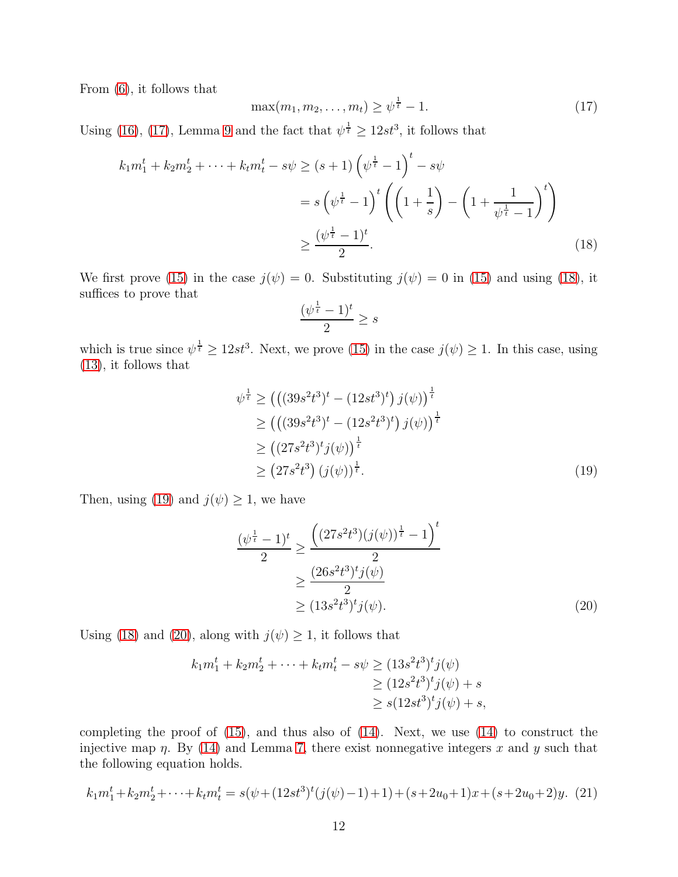From [\(6\)](#page-5-0), it follows that

<span id="page-11-0"></span>
$$
\max(m_1, m_2, \dots, m_t) \ge \psi^{\frac{1}{t}} - 1.
$$
 (17)

Using [\(16\)](#page-10-3), [\(17\)](#page-11-0), Lemma [9](#page-9-1) and the fact that  $\psi^{\frac{1}{t}} \geq 12st^3$ , it follows that

$$
k_1 m_1^t + k_2 m_2^t + \dots + k_t m_t^t - s\psi \ge (s+1) \left(\psi^{\frac{1}{t}} - 1\right)^t - s\psi
$$
  
=  $s \left(\psi^{\frac{1}{t}} - 1\right)^t \left(\left(1 + \frac{1}{s}\right) - \left(1 + \frac{1}{\psi^{\frac{1}{t}} - 1}\right)^t\right)$   
 $\ge \frac{(\psi^{\frac{1}{t}} - 1)^t}{2}.$  (18)

We first prove [\(15\)](#page-10-2) in the case  $j(\psi) = 0$ . Substituting  $j(\psi) = 0$  in (15) and using [\(18\)](#page-11-1), it suffices to prove that

<span id="page-11-2"></span><span id="page-11-1"></span>
$$
\frac{(\psi^{\frac{1}{t}}-1)^t}{2} \ge s
$$

which is true since  $\psi^{\frac{1}{t}} \geq 12st^3$ . Next, we prove [\(15\)](#page-10-2) in the case  $j(\psi) \geq 1$ . In this case, using [\(13\)](#page-10-4), it follows that

$$
\psi^{\frac{1}{t}} \geq (((39s^2t^3)^t - (12st^3)^t) j(\psi))^{\frac{1}{t}} \geq (((39s^2t^3)^t - (12s^2t^3)^t) j(\psi))^{\frac{1}{t}} \geq ((27s^2t^3)^t j(\psi))^{\frac{1}{t}} \geq (27s^2t^3) (j(\psi))^{\frac{1}{t}}.
$$
\n(19)

Then, using [\(19\)](#page-11-2) and  $j(\psi) \geq 1$ , we have

<span id="page-11-3"></span>
$$
\frac{(\psi^{\frac{1}{t}} - 1)^t}{2} \ge \frac{\left((27s^2t^3)(j(\psi))^{\frac{1}{t}} - 1\right)^t}{2}
$$

$$
\ge \frac{(26s^2t^3)^t j(\psi)}{2}
$$

$$
\ge (13s^2t^3)^t j(\psi).
$$
 (20)

Using [\(18\)](#page-11-1) and [\(20\)](#page-11-3), along with  $j(\psi) \geq 1$ , it follows that

$$
k_1 m_1^t + k_2 m_2^t + \dots + k_t m_t^t - s\psi \ge (13s^2 t^3)^t j(\psi)
$$
  
\n
$$
\ge (12s^2 t^3)^t j(\psi) + s
$$
  
\n
$$
\ge s(12st^3)^t j(\psi) + s,
$$

completing the proof of  $(15)$ , and thus also of  $(14)$ . Next, we use  $(14)$  to construct the injective map  $\eta$ . By [\(14\)](#page-10-1) and Lemma [7,](#page-5-1) there exist nonnegative integers x and y such that the following equation holds.

<span id="page-11-4"></span>
$$
k_1m_1^t + k_2m_2^t + \dots + k_t m_t^t = s(\psi + (12st^3)^t(j(\psi) - 1) + 1) + (s + 2u_0 + 1)x + (s + 2u_0 + 2)y. \tag{21}
$$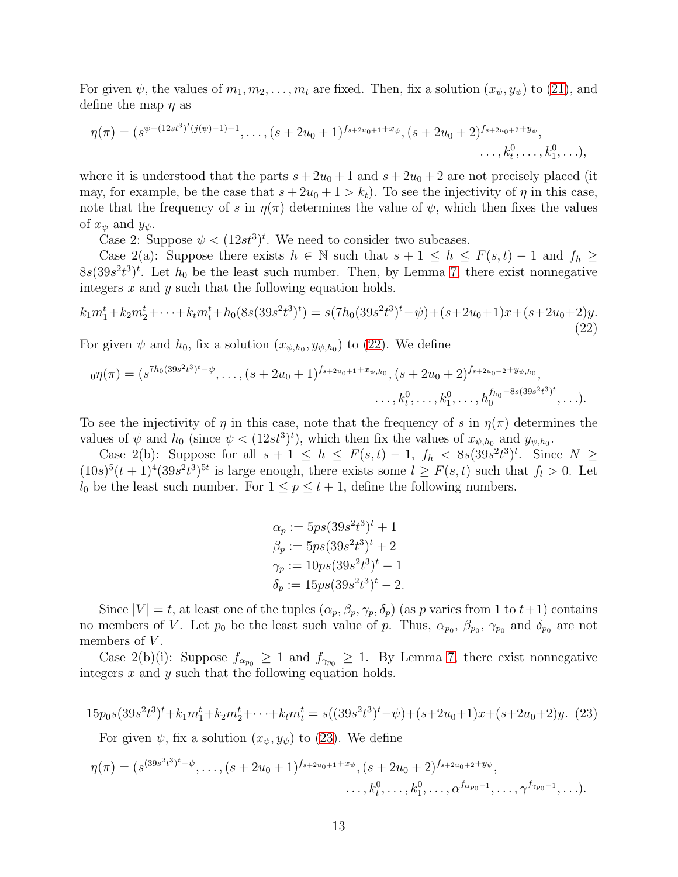For given  $\psi$ , the values of  $m_1, m_2, \ldots, m_t$  are fixed. Then, fix a solution  $(x_{\psi}, y_{\psi})$  to [\(21\)](#page-11-4), and define the map  $\eta$  as

$$
\eta(\pi) = (s^{\psi + (12st^3)^t(j(\psi)-1)+1}, \dots, (s+2u_0+1)^{f_{s+2u_0+1}+x_{\psi}}, (s+2u_0+2)^{f_{s+2u_0+2}+y_{\psi}}, \dots, k_1^0, \dots),
$$

where it is understood that the parts  $s + 2u_0 + 1$  and  $s + 2u_0 + 2$  are not precisely placed (it may, for example, be the case that  $s + 2u_0 + 1 > k_t$ . To see the injectivity of  $\eta$  in this case, note that the frequency of s in  $\eta(\pi)$  determines the value of  $\psi$ , which then fixes the values of  $x_{\psi}$  and  $y_{\psi}$ .

Case 2: Suppose  $\psi < (12st^3)^t$ . We need to consider two subcases.

Case 2(a): Suppose there exists  $h \in \mathbb{N}$  such that  $s + 1 \leq h \leq F(s, t) - 1$  and  $f_h \geq$  $8s(39s^2t^3)^t$ . Let  $h_0$  be the least such number. Then, by Lemma [7,](#page-5-1) there exist nonnegative integers  $x$  and  $y$  such that the following equation holds.

<span id="page-12-0"></span>
$$
k_1m_1^t + k_2m_2^t + \dots + k_t m_t^t + h_0(8s(39s^2t^3)^t) = s(7h_0(39s^2t^3)^t - \psi) + (s + 2u_0 + 1)x + (s + 2u_0 + 2)y.
$$
\n(22)

For given  $\psi$  and  $h_0$ , fix a solution  $(x_{\psi,h_0}, y_{\psi,h_0})$  to [\(22\)](#page-12-0). We define

$$
{}_0\eta(\pi) = (s^{7h_0(39s^2t^3)^t - \psi}, \dots, (s+2u_0+1)^{f_{s+2u_0+1}+x_{\psi,h_0}}, (s+2u_0+2)^{f_{s+2u_0+2}+y_{\psi,h_0}}, \dots, k_0^0, \dots, k_0^{f_{h_0}-8s(39s^2t^3)^t}, \dots).
$$

To see the injectivity of  $\eta$  in this case, note that the frequency of s in  $\eta(\pi)$  determines the values of  $\psi$  and  $h_0$  (since  $\psi < (12st^3)^t$ ), which then fix the values of  $x_{\psi,h_0}$  and  $y_{\psi,h_0}$ .

Case 2(b): Suppose for all  $s + 1 \leq h \leq F(s,t) - 1$ ,  $f_h < 8s(39s^2t^3)^t$ . Since  $N \geq$  $(10s)^5(t+1)^4(39s^2t^3)^{5t}$  is large enough, there exists some  $l \geq F(s,t)$  such that  $f_l > 0$ . Let  $l_0$  be the least such number. For  $1 \leq p \leq t+1$ , define the following numbers.

$$
\alpha_p := 5ps(39s^2t^3)^t + 1
$$
  
\n
$$
\beta_p := 5ps(39s^2t^3)^t + 2
$$
  
\n
$$
\gamma_p := 10ps(39s^2t^3)^t - 1
$$
  
\n
$$
\delta_p := 15ps(39s^2t^3)^t - 2.
$$

Since  $|V| = t$ , at least one of the tuples  $(\alpha_p, \beta_p, \gamma_p, \delta_p)$  (as p varies from 1 to  $t+1$ ) contains no members of V. Let  $p_0$  be the least such value of p. Thus,  $\alpha_{p_0}, \beta_{p_0}, \gamma_{p_0}$  and  $\delta_{p_0}$  are not members of  $V$ .

Case 2(b)(i): Suppose  $f_{\alpha_{p_0}} \geq 1$  and  $f_{\gamma_{p_0}} \geq 1$ . By Lemma [7,](#page-5-1) there exist nonnegative integers  $x$  and  $y$  such that the following equation holds.

<span id="page-12-1"></span>
$$
15p_0s(39s^2t^3)^t + k_1m_1^t + k_2m_2^t + \dots + k_t m_t^t = s((39s^2t^3)^t - \psi) + (s+2u_0+1)x + (s+2u_0+2)y. \tag{23}
$$

For given  $\psi$ , fix a solution  $(x_{\psi}, y_{\psi})$  to [\(23\)](#page-12-1). We define

$$
\eta(\pi) = (s^{(39s^2t^3)^t - \psi}, \dots, (s+2u_0+1)^{f_{s+2u_0+1}+x_{\psi}}, (s+2u_0+2)^{f_{s+2u_0+2}+y_{\psi}}, \dots, k_1^0, \dots, \alpha^{f_{\alpha p_0-1}}, \dots, \gamma^{f_{\gamma p_0-1}}, \dots).
$$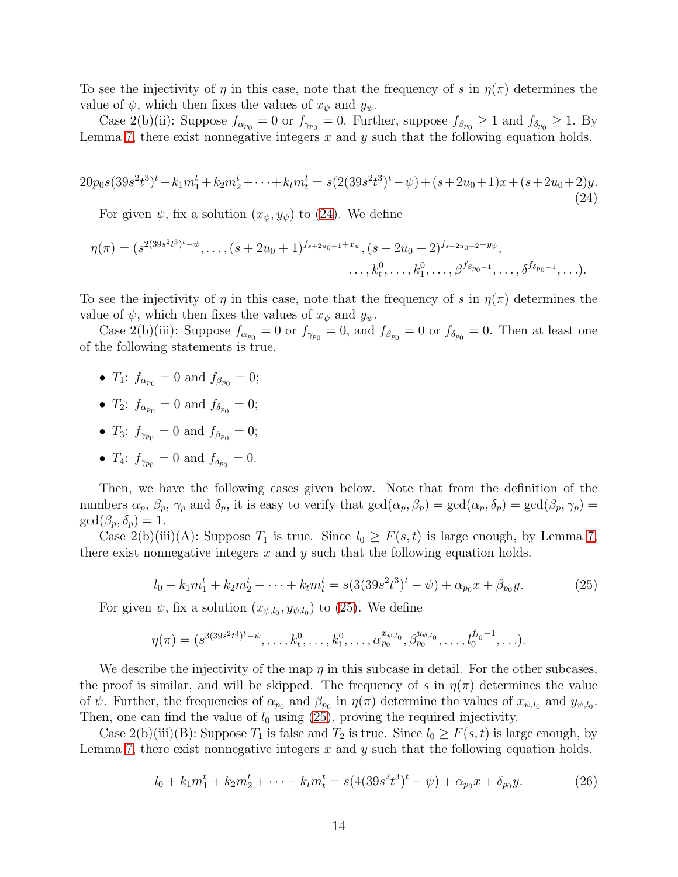To see the injectivity of  $\eta$  in this case, note that the frequency of s in  $\eta(\pi)$  determines the value of  $\psi$ , which then fixes the values of  $x_{\psi}$  and  $y_{\psi}$ .

Case 2(b)(ii): Suppose  $f_{\alpha_{p_0}} = 0$  or  $f_{\gamma_{p_0}} = 0$ . Further, suppose  $f_{\beta_{p_0}} \ge 1$  and  $f_{\delta_{p_0}} \ge 1$ . By Lemma [7,](#page-5-1) there exist nonnegative integers  $x$  and  $y$  such that the following equation holds.

<span id="page-13-0"></span>
$$
20p_0s(39s^2t^3)^t + k_1m_1^t + k_2m_2^t + \dots + k_tm_t^t = s(2(39s^2t^3)^t - \psi) + (s + 2u_0 + 1)x + (s + 2u_0 + 2)y.
$$
\n
$$
(24)
$$

For given  $\psi$ , fix a solution  $(x_{\psi}, y_{\psi})$  to [\(24\)](#page-13-0). We define

$$
\eta(\pi) = (s^{2(39s^2t^3)^t - \psi}, \dots, (s+2u_0+1)^{f_{s+2u_0+1}+x_{\psi}}, (s+2u_0+2)^{f_{s+2u_0+2}+y_{\psi}}, \dots, k_1^0, \dots, \beta^{f_{\beta p_0-1}}, \dots, \delta^{f_{\delta p_0-1}}, \dots).
$$

To see the injectivity of  $\eta$  in this case, note that the frequency of s in  $\eta(\pi)$  determines the value of  $\psi$ , which then fixes the values of  $x_{\psi}$  and  $y_{\psi}$ .

Case 2(b)(iii): Suppose  $f_{\alpha_{p_0}} = 0$  or  $f_{\gamma_{p_0}} = 0$ , and  $f_{\beta_{p_0}} = 0$  or  $f_{\delta_{p_0}} = 0$ . Then at least one of the following statements is true.

- $T_1$ :  $f_{\alpha_{p_0}} = 0$  and  $f_{\beta_{p_0}} = 0$ ;
- $T_2$ :  $f_{\alpha_{p_0}} = 0$  and  $f_{\delta_{p_0}} = 0$ ;
- $T_3$ :  $f_{\gamma_{p_0}} = 0$  and  $f_{\beta_{p_0}} = 0$ ;
- $T_4$ :  $f_{\gamma_{p_0}} = 0$  and  $f_{\delta_{p_0}} = 0$ .

Then, we have the following cases given below. Note that from the definition of the numbers  $\alpha_p$ ,  $\beta_p$ ,  $\gamma_p$  and  $\delta_p$ , it is easy to verify that  $gcd(\alpha_p, \beta_p) = gcd(\alpha_p, \delta_p) = gcd(\beta_p, \gamma_p)$  $gcd(\beta_p, \delta_p) = 1.$ 

Case 2(b)(iii)(A): Suppose  $T_1$  is true. Since  $l_0 \geq F(s,t)$  is large enough, by Lemma [7,](#page-5-1) there exist nonnegative integers x and y such that the following equation holds.

<span id="page-13-1"></span>
$$
l_0 + k_1 m_1^t + k_2 m_2^t + \dots + k_t m_t^t = s(3(39s^2t^3)^t - \psi) + \alpha_{p_0} x + \beta_{p_0} y.
$$
 (25)

For given  $\psi$ , fix a solution  $(x_{\psi, l_0}, y_{\psi, l_0})$  to [\(25\)](#page-13-1). We define

$$
\eta(\pi) = (s^{3(39s^2t^3)^t - \psi}, \dots, k_t^0, \dots, k_1^0, \dots, \alpha_{p_0}^{x_{\psi, l_0}}, \beta_{p_0}^{y_{\psi, l_0}}, \dots, l_0^{f_{l_0}-1}, \dots).
$$

We describe the injectivity of the map  $\eta$  in this subcase in detail. For the other subcases, the proof is similar, and will be skipped. The frequency of s in  $\eta(\pi)$  determines the value of  $\psi$ . Further, the frequencies of  $\alpha_{p_0}$  and  $\beta_{p_0}$  in  $\eta(\pi)$  determine the values of  $x_{\psi, l_0}$  and  $y_{\psi, l_0}$ . Then, one can find the value of  $l_0$  using [\(25\)](#page-13-1), proving the required injectivity.

Case 2(b)(iii)(B): Suppose  $T_1$  is false and  $T_2$  is true. Since  $l_0 \geq F(s,t)$  is large enough, by Lemma [7,](#page-5-1) there exist nonnegative integers  $x$  and  $y$  such that the following equation holds.

<span id="page-13-2"></span>
$$
l_0 + k_1 m_1^t + k_2 m_2^t + \dots + k_t m_t^t = s(4(39s^2t^3)^t - \psi) + \alpha_{p_0} x + \delta_{p_0} y.
$$
 (26)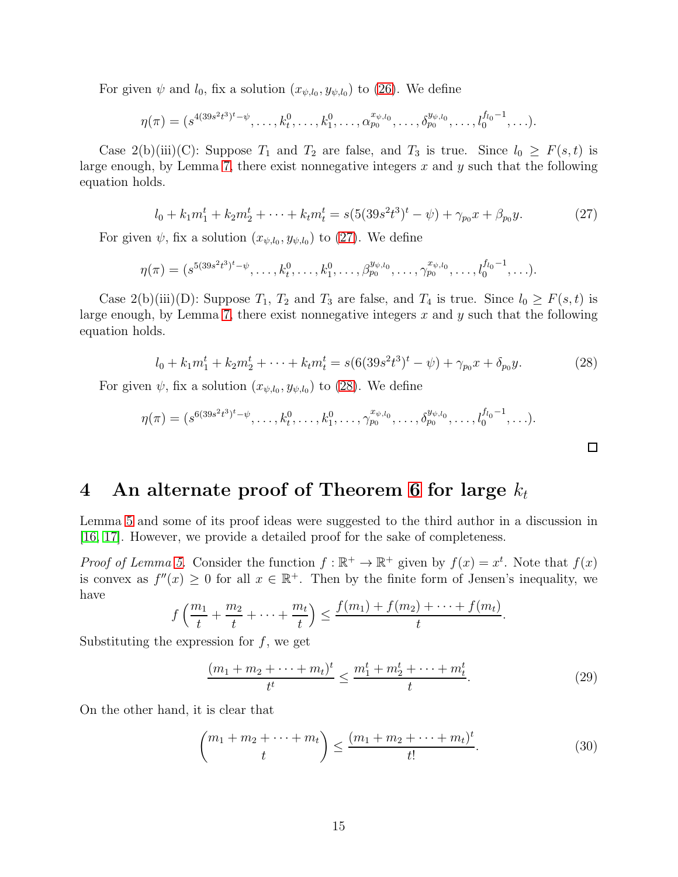For given  $\psi$  and  $l_0$ , fix a solution  $(x_{\psi,l_0}, y_{\psi,l_0})$  to [\(26\)](#page-13-2). We define

$$
\eta(\pi)=(s^{4(39s^2t^3)^t-\psi},\ldots,k_t^0,\ldots,k_1^0,\ldots,\alpha_{p_0}^{x_{\psi,l_0}},\ldots,\delta_{p_0}^{y_{\psi,l_0}},\ldots,l_0^{f_{l_0}-1},\ldots).
$$

Case 2(b)(iii)(C): Suppose  $T_1$  and  $T_2$  are false, and  $T_3$  is true. Since  $l_0 \geq F(s,t)$  is large enough, by Lemma [7,](#page-5-1) there exist nonnegative integers  $x$  and  $y$  such that the following equation holds.

<span id="page-14-1"></span>
$$
l_0 + k_1 m_1^t + k_2 m_2^t + \dots + k_t m_t^t = s(5(39s^2t^3)^t - \psi) + \gamma_{p_0} x + \beta_{p_0} y. \tag{27}
$$

For given  $\psi$ , fix a solution  $(x_{\psi,l_0}, y_{\psi,l_0})$  to [\(27\)](#page-14-1). We define

$$
\eta(\pi) = (s^{5(39s^2t^3)^t - \psi}, \dots, k_t^0, \dots, k_1^0, \dots, \beta_{p_0}^{y_{\psi, l_0}}, \dots, \gamma_{p_0}^{x_{\psi, l_0}}, \dots, l_0^{f_{l_0}-1}, \dots).
$$

Case 2(b)(iii)(D): Suppose  $T_1$ ,  $T_2$  and  $T_3$  are false, and  $T_4$  is true. Since  $l_0 \geq F(s,t)$  is large enough, by Lemma [7,](#page-5-1) there exist nonnegative integers  $x$  and  $y$  such that the following equation holds.

<span id="page-14-2"></span>
$$
l_0 + k_1 m_1^t + k_2 m_2^t + \dots + k_t m_t^t = s(6(39s^2t^3)^t - \psi) + \gamma_{p_0} x + \delta_{p_0} y. \tag{28}
$$

 $\Box$ 

For given  $\psi$ , fix a solution  $(x_{\psi,l_0}, y_{\psi,l_0})$  to [\(28\)](#page-14-2). We define

$$
\eta(\pi) = (s^{6(39s^2t^3)^t - \psi}, \dots, k_t^0, \dots, k_1^0, \dots, \gamma_{p_0}^{x_{\psi, l_0}}, \dots, \delta_{p_0}^{y_{\psi, l_0}}, \dots, l_0^{f_{l_0}-1}, \dots).
$$

## <span id="page-14-0"></span>4 An alternate proof of Theorem [6](#page-5-2) for large  $k_t$

Lemma [5](#page-4-0) and some of its proof ideas were suggested to the third author in a discussion in [\[16,](#page-21-6) [17\]](#page-21-7). However, we provide a detailed proof for the sake of completeness.

*Proof of Lemma [5.](#page-4-0)* Consider the function  $f : \mathbb{R}^+ \to \mathbb{R}^+$  given by  $f(x) = x^t$ . Note that  $f(x)$ is convex as  $f''(x) \geq 0$  for all  $x \in \mathbb{R}^+$ . Then by the finite form of Jensen's inequality, we have

$$
f\left(\frac{m_1}{t} + \frac{m_2}{t} + \dots + \frac{m_t}{t}\right) \le \frac{f(m_1) + f(m_2) + \dots + f(m_t)}{t}.
$$

Substituting the expression for  $f$ , we get

<span id="page-14-4"></span>
$$
\frac{(m_1 + m_2 + \dots + m_t)^t}{t^t} \le \frac{m_1^t + m_2^t + \dots + m_t^t}{t}.
$$
\n(29)

On the other hand, it is clear that

<span id="page-14-3"></span>
$$
\binom{m_1 + m_2 + \dots + m_t}{t} \le \frac{(m_1 + m_2 + \dots + m_t)^t}{t!}.
$$
 (30)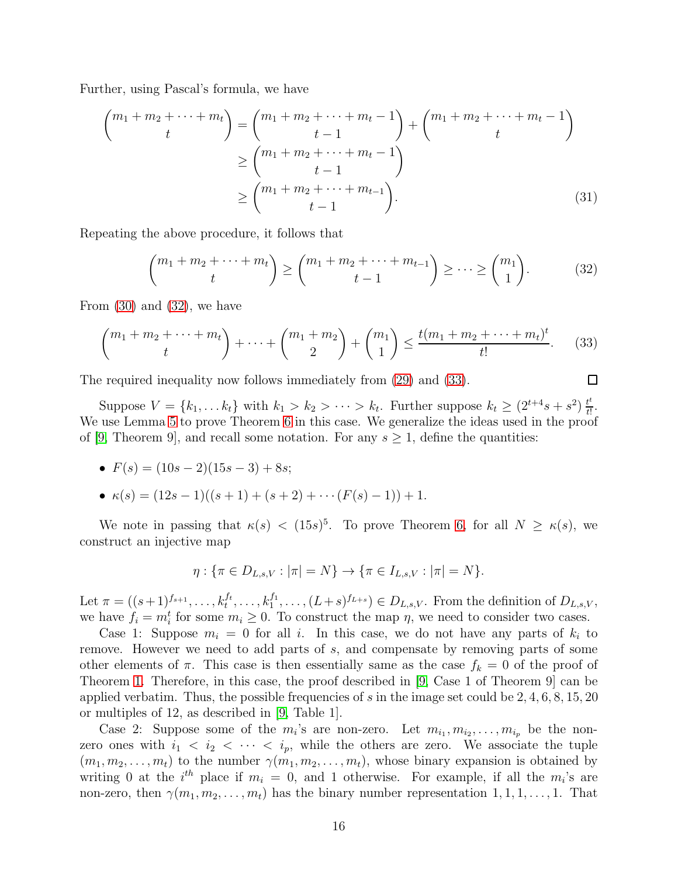Further, using Pascal's formula, we have

$$
\begin{pmatrix} m_1 + m_2 + \dots + m_t \\ t \end{pmatrix} = \begin{pmatrix} m_1 + m_2 + \dots + m_t - 1 \\ t - 1 \end{pmatrix} + \begin{pmatrix} m_1 + m_2 + \dots + m_t - 1 \\ t \end{pmatrix}
$$
  
\n
$$
\geq \begin{pmatrix} m_1 + m_2 + \dots + m_t - 1 \\ t - 1 \end{pmatrix}
$$
  
\n
$$
\geq \begin{pmatrix} m_1 + m_2 + \dots + m_{t-1} \\ t - 1 \end{pmatrix}.
$$
 (31)

Repeating the above procedure, it follows that

<span id="page-15-0"></span>
$$
\binom{m_1 + m_2 + \dots + m_t}{t} \ge \binom{m_1 + m_2 + \dots + m_{t-1}}{t-1} \ge \dots \ge \binom{m_1}{1}.
$$
 (32)

From [\(30\)](#page-14-3) and [\(32\)](#page-15-0), we have

<span id="page-15-1"></span>
$$
\binom{m_1 + m_2 + \dots + m_t}{t} + \dots + \binom{m_1 + m_2}{2} + \binom{m_1}{1} \le \frac{t(m_1 + m_2 + \dots + m_t)^t}{t!}.\tag{33}
$$

The required inequality now follows immediately from [\(29\)](#page-14-4) and [\(33\)](#page-15-1).

Suppose  $V = \{k_1, \ldots k_t\}$  with  $k_1 > k_2 > \cdots > k_t$ . Further suppose  $k_t \geq (2^{t+4}s + s^2) \frac{t^t}{t!}$  $\frac{t^i}{t!}$ . We use Lemma [5](#page-4-0) to prove Theorem [6](#page-5-2) in this case. We generalize the ideas used in the proof of [\[9,](#page-20-7) Theorem 9], and recall some notation. For any  $s \geq 1$ , define the quantities:

• 
$$
F(s) = (10s - 2)(15s - 3) + 8s;
$$

• 
$$
\kappa(s) = (12s - 1)((s + 1) + (s + 2) + \cdots (F(s) - 1)) + 1.
$$

We note in passing that  $\kappa(s) < (15s)^5$ . To prove Theorem [6,](#page-5-2) for all  $N \geq \kappa(s)$ , we construct an injective map

$$
\eta: \{\pi \in D_{L,s,V}: |\pi| = N\} \to \{\pi \in I_{L,s,V}: |\pi| = N\}.
$$

Let  $\pi = ((s+1)^{f_{s+1}}, \ldots, k_t^{f_t}, \ldots, k_1^{f_1}, \ldots, (L+s)^{f_{L+s}}) \in D_{L,s,V}$ . From the definition of  $D_{L,s,V}$ , we have  $f_i = m_i^t$  for some  $m_i \geq 0$ . To construct the map  $\eta$ , we need to consider two cases.

Case 1: Suppose  $m_i = 0$  for all i. In this case, we do not have any parts of  $k_i$  to remove. However we need to add parts of s, and compensate by removing parts of some other elements of  $\pi$ . This case is then essentially same as the case  $f_k = 0$  of the proof of Theorem [1.](#page-1-0) Therefore, in this case, the proof described in [\[9,](#page-20-7) Case 1 of Theorem 9] can be applied verbatim. Thus, the possible frequencies of s in the image set could be  $2, 4, 6, 8, 15, 20$ or multiples of 12, as described in [\[9,](#page-20-7) Table 1].

Case 2: Suppose some of the  $m_i$ 's are non-zero. Let  $m_{i_1}, m_{i_2}, \ldots, m_{i_p}$  be the nonzero ones with  $i_1 < i_2 < \cdots < i_p$ , while the others are zero. We associate the tuple  $(m_1, m_2, \ldots, m_t)$  to the number  $\gamma(m_1, m_2, \ldots, m_t)$ , whose binary expansion is obtained by writing 0 at the  $i^{th}$  place if  $m_i = 0$ , and 1 otherwise. For example, if all the  $m_i$ 's are non-zero, then  $\gamma(m_1, m_2, \ldots, m_t)$  has the binary number representation  $1, 1, 1, \ldots, 1$ . That

 $\Box$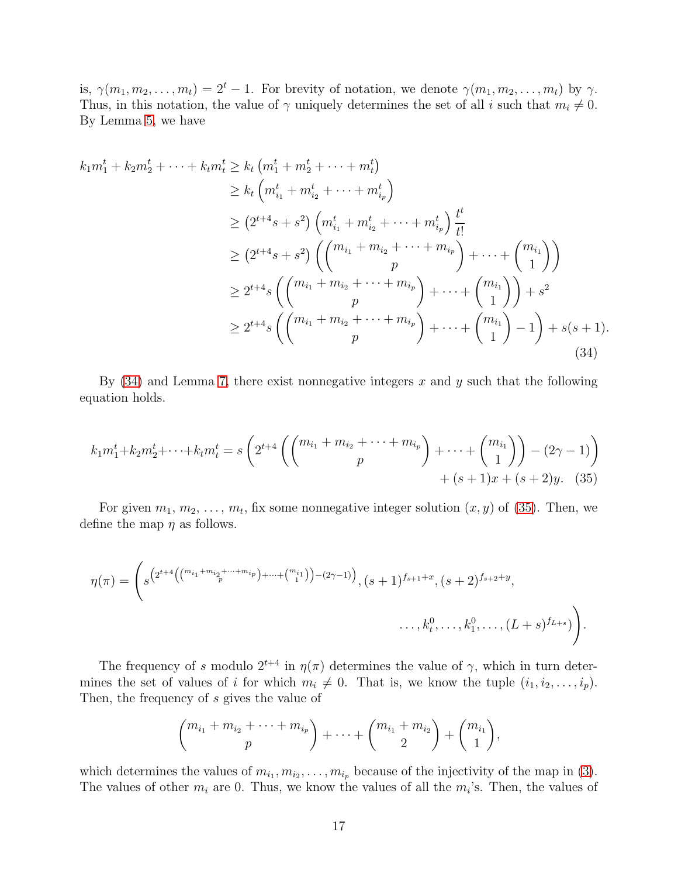is,  $\gamma(m_1, m_2, \ldots, m_t) = 2^t - 1$ . For brevity of notation, we denote  $\gamma(m_1, m_2, \ldots, m_t)$  by  $\gamma$ . Thus, in this notation, the value of  $\gamma$  uniquely determines the set of all i such that  $m_i \neq 0$ . By Lemma [5,](#page-4-0) we have

$$
k_{1}m_{1}^{t} + k_{2}m_{2}^{t} + \cdots + k_{t}m_{t}^{t} \geq k_{t} (m_{1}^{t} + m_{2}^{t} + \cdots + m_{t}^{t})
$$
  
\n
$$
\geq k_{t} (m_{i_{1}}^{t} + m_{i_{2}}^{t} + \cdots + m_{i_{p}}^{t})
$$
  
\n
$$
\geq (2^{t+4}s + s^{2}) (m_{i_{1}}^{t} + m_{i_{2}}^{t} + \cdots + m_{i_{p}}^{t}) \frac{t^{t}}{t!}
$$
  
\n
$$
\geq (2^{t+4}s + s^{2}) ((m_{i_{1}} + m_{i_{2}} + \cdots + m_{i_{p}}) + \cdots + (m_{i_{1}})^{t})
$$
  
\n
$$
\geq 2^{t+4}s ((m_{i_{1}} + m_{i_{2}} + \cdots + m_{i_{p}}) + \cdots + (m_{i_{1}})^{t}) + s^{2}
$$
  
\n
$$
\geq 2^{t+4}s ((m_{i_{1}} + m_{i_{2}} + \cdots + m_{i_{p}}) + \cdots + (m_{i_{1}})^{t}) - 1) + s(s + 1).
$$
  
\n(34)

By  $(34)$  and Lemma [7,](#page-5-1) there exist nonnegative integers x and y such that the following equation holds.

<span id="page-16-0"></span>
$$
k_1 m_1^t + k_2 m_2^t + \dots + k_t m_t^t = s \left( 2^{t+4} \left( \binom{m_{i_1} + m_{i_2} + \dots + m_{i_p}}{p} + \dots + \binom{m_{i_1}}{1} \right) - (2\gamma - 1) \right) + (s+1)x + (s+2)y. \tag{35}
$$

For given  $m_1, m_2, \ldots, m_t$ , fix some nonnegative integer solution  $(x, y)$  of [\(35\)](#page-16-1). Then, we define the map  $\eta$  as follows.

$$
\eta(\pi) = \left(s^{\left(2^{t+4}\left(\binom{m_{i_1}+m_{i_2}+\cdots+m_{i_p}}{p}+\cdots+\binom{m_{i_1}}{1}\right)-(2\gamma-1)\right)}, (s+1)^{f_{s+1}+x}, (s+2)^{f_{s+2}+y}, \dots, k_t^0, \dots, (L+s)^{f_{L+s}})\right).
$$

The frequency of s modulo  $2^{t+4}$  in  $\eta(\pi)$  determines the value of  $\gamma$ , which in turn determines the set of values of i for which  $m_i \neq 0$ . That is, we know the tuple  $(i_1, i_2, \ldots, i_p)$ . Then, the frequency of s gives the value of

<span id="page-16-1"></span>
$$
{m_{i_1}+m_{i_2}+\cdots+m_{i_p}\choose p}+\cdots+{m_{i_1}+m_{i_2}\choose 2}+{m_{i_1}\choose 1},
$$

which determines the values of  $m_{i_1}, m_{i_2}, \ldots, m_{i_p}$  because of the injectivity of the map in [\(3\)](#page-3-1). The values of other  $m_i$  are 0. Thus, we know the values of all the  $m_i$ 's. Then, the values of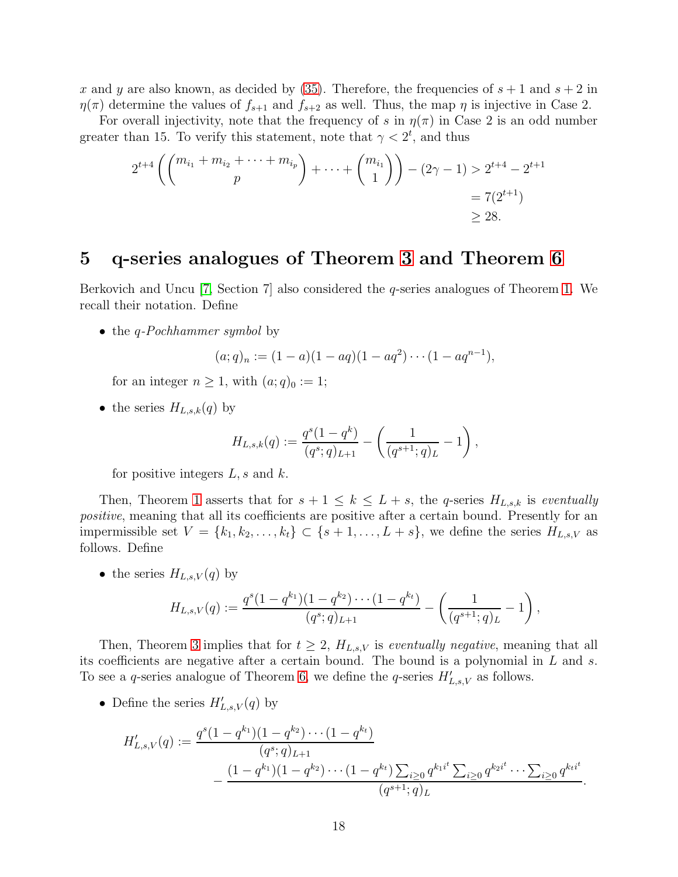x and y are also known, as decided by [\(35\)](#page-16-1). Therefore, the frequencies of  $s + 1$  and  $s + 2$  in  $\eta(\pi)$  determine the values of  $f_{s+1}$  and  $f_{s+2}$  as well. Thus, the map  $\eta$  is injective in Case 2.

For overall injectivity, note that the frequency of s in  $\eta(\pi)$  in Case 2 is an odd number greater than 15. To verify this statement, note that  $\gamma < 2^t$ , and thus

$$
2^{t+4} \left( \binom{m_{i_1} + m_{i_2} + \dots + m_{i_p}}{p} + \dots + \binom{m_{i_1}}{1} \right) - (2\gamma - 1) > 2^{t+4} - 2^{t+1} \\
= 7(2^{t+1}) \\
\geq 28.
$$

#### <span id="page-17-0"></span>5 q-series analogues of Theorem [3](#page-1-2) and Theorem [6](#page-5-2)

Berkovich and Uncu [\[7,](#page-20-6) Section 7] also considered the *q*-series analogues of Theorem [1.](#page-1-0) We recall their notation. Define

• the *q-Pochhammer symbol* by

$$
(a;q)_n := (1-a)(1-aq)(1-aq^2)\cdots(1-aq^{n-1}),
$$

for an integer  $n \geq 1$ , with  $(a;q)_0 := 1$ ;

• the series  $H_{L,s,k}(q)$  by

$$
H_{L,s,k}(q) := \frac{q^s(1-q^k)}{(q^s;q)_{L+1}} - \left(\frac{1}{(q^{s+1};q)_L} - 1\right),
$$

for positive integers  $L, s$  and  $k$ .

Then, Theorem [1](#page-1-0) asserts that for  $s + 1 \leq k \leq L + s$ , the q-series  $H_{L,s,k}$  is eventually positive, meaning that all its coefficients are positive after a certain bound. Presently for an impermissible set  $V = \{k_1, k_2, \ldots, k_t\} \subset \{s+1, \ldots, L+s\}$ , we define the series  $H_{L,s,V}$  as follows. Define

• the series  $H_{L,s,V}(q)$  by

$$
H_{L,s,V}(q) := \frac{q^s(1-q^{k_1})(1-q^{k_2})\cdots(1-q^{k_t})}{(q^s;q)_{L+1}} - \left(\frac{1}{(q^{s+1};q)_L} - 1\right),
$$

Then, Theorem [3](#page-1-2) implies that for  $t \geq 2$ ,  $H_{L,s,V}$  is *eventually negative*, meaning that all its coefficients are negative after a certain bound. The bound is a polynomial in L and s. To see a q-series analogue of Theorem [6,](#page-5-2) we define the q-series  $H'_{L,s,V}$  as follows.

• Define the series  $H'_{L,s,V}(q)$  by

$$
H'_{L,s,V}(q) := \frac{q^s (1 - q^{k_1})(1 - q^{k_2}) \cdots (1 - q^{k_t})}{(q^s; q)_{L+1}} - \frac{(1 - q^{k_1})(1 - q^{k_2}) \cdots (1 - q^{k_t}) \sum_{i \ge 0} q^{k_1 i^t} \sum_{i \ge 0} q^{k_2 i^t} \cdots \sum_{i \ge 0} q^{k_t i^t}}{(q^{s+1}; q)_L}.
$$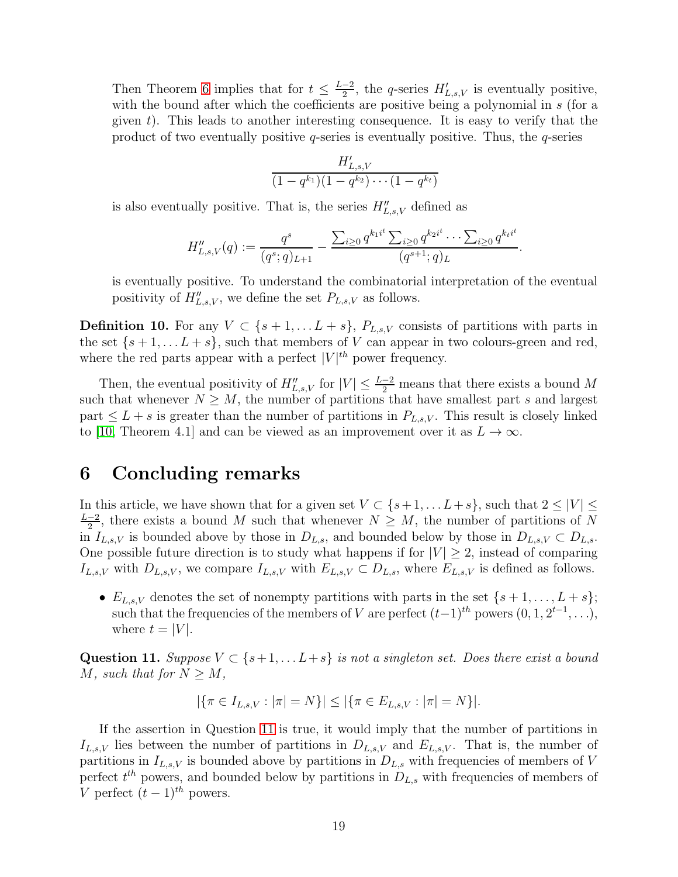Then Theorem [6](#page-5-2) implies that for  $t \leq \frac{L-2}{2}$  $\frac{-2}{2}$ , the q-series  $H'_{L,s,V}$  is eventually positive, with the bound after which the coefficients are positive being a polynomial in s (for a given  $t$ ). This leads to another interesting consequence. It is easy to verify that the product of two eventually positive  $q$ -series is eventually positive. Thus, the  $q$ -series

$$
\frac{H'_{L,s,V}}{(1-q^{k_1})(1-q^{k_2})\cdots(1-q^{k_t})}
$$

is also eventually positive. That is, the series  $H''_{L,s,V}$  defined as

$$
H''_{L,s,V}(q) := \frac{q^s}{(q^s;q)_{L+1}} - \frac{\sum_{i\geq 0} q^{k_1 i^t} \sum_{i\geq 0} q^{k_2 i^t} \cdots \sum_{i\geq 0} q^{k_t i^t}}{(q^{s+1};q)_{L}}
$$

.

is eventually positive. To understand the combinatorial interpretation of the eventual positivity of  $H''_{L,s,V}$ , we define the set  $P_{L,s,V}$  as follows.

**Definition 10.** For any  $V \subset \{s+1, \ldots L+s\}$ ,  $P_{L,s,V}$  consists of partitions with parts in the set  $\{s+1,\ldots L+s\}$ , such that members of V can appear in two colours-green and red, where the red parts appear with a perfect  $|V|^{th}$  power frequency.

Then, the eventual positivity of  $H''_{L,s,V}$  for  $|V| \leq \frac{L-2}{2}$  means that there exists a bound M such that whenever  $N \geq M$ , the number of partitions that have smallest part s and largest part  $\leq L + s$  is greater than the number of partitions in  $P_{L,s,V}$ . This result is closely linked to [\[10,](#page-20-10) Theorem 4.1] and can be viewed as an improvement over it as  $L \to \infty$ .

## <span id="page-18-0"></span>6 Concluding remarks

In this article, we have shown that for a given set  $V \subset \{s+1, \ldots L+s\}$ , such that  $2 \leq |V| \leq$  $L-2$  $\frac{-2}{2}$ , there exists a bound M such that whenever  $N \geq M$ , the number of partitions of N in  $I_{L,s,V}$  is bounded above by those in  $D_{L,s}$ , and bounded below by those in  $D_{L,s,V} \subset D_{L,s}$ . One possible future direction is to study what happens if for  $|V| \geq 2$ , instead of comparing  $I_{L,s,V}$  with  $D_{L,s,V}$ , we compare  $I_{L,s,V}$  with  $E_{L,s,V} \subset D_{L,s}$ , where  $E_{L,s,V}$  is defined as follows.

•  $E_{L,s,V}$  denotes the set of nonempty partitions with parts in the set  $\{s+1,\ldots,L+s\};$ such that the frequencies of the members of V are perfect  $(t-1)$ <sup>th</sup> powers  $(0, 1, 2^{t-1}, \ldots)$ , where  $t = |V|$ .

<span id="page-18-1"></span>Question 11. Suppose  $V \subset \{s+1, \ldots L+s\}$  is not a singleton set. Does there exist a bound M, such that for  $N \geq M$ ,

$$
|\{\pi \in I_{L,s,V} : |\pi| = N\}| \le |\{\pi \in E_{L,s,V} : |\pi| = N\}|.
$$

If the assertion in Question [11](#page-18-1) is true, it would imply that the number of partitions in  $I_{L,s,V}$  lies between the number of partitions in  $D_{L,s,V}$  and  $E_{L,s,V}$ . That is, the number of partitions in  $I_{L,s,V}$  is bounded above by partitions in  $D_{L,s}$  with frequencies of members of V perfect  $t^{th}$  powers, and bounded below by partitions in  $D_{L,s}$  with frequencies of members of V perfect  $(t-1)^{th}$  powers.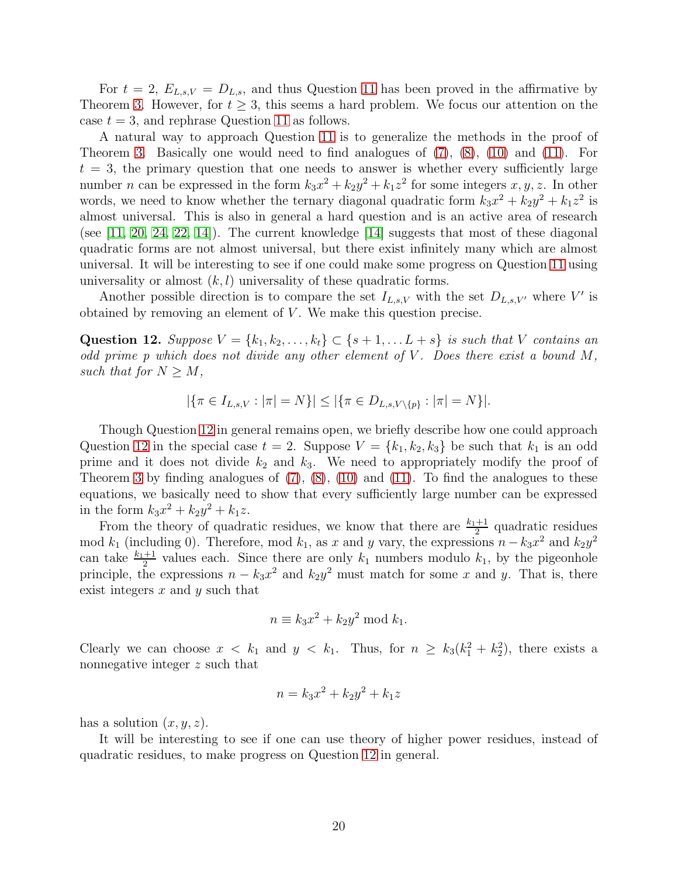For  $t = 2$ ,  $E_{L,s,V} = D_{L,s}$ , and thus Question [11](#page-18-1) has been proved in the affirmative by Theorem [3.](#page-1-2) However, for  $t \geq 3$ , this seems a hard problem. We focus our attention on the case  $t = 3$ , and rephrase Question [11](#page-18-1) as follows.

A natural way to approach Question [11](#page-18-1) is to generalize the methods in the proof of Theorem [3.](#page-1-2) Basically one would need to find analogues of [\(7\)](#page-6-2), [\(8\)](#page-7-0), [\(10\)](#page-7-2) and [\(11\)](#page-8-0). For  $t = 3$ , the primary question that one needs to answer is whether every sufficiently large number *n* can be expressed in the form  $k_3x^2 + k_2y^2 + k_1z^2$  for some integers  $x, y, z$ . In other words, we need to know whether the ternary diagonal quadratic form  $k_3x^2 + k_2y^2 + k_1z^2$  is almost universal. This is also in general a hard question and is an active area of research (see  $[11, 20, 24, 22, 14]$  $[11, 20, 24, 22, 14]$  $[11, 20, 24, 22, 14]$  $[11, 20, 24, 22, 14]$  $[11, 20, 24, 22, 14]$ ). The current knowledge  $[14]$  suggests that most of these diagonal quadratic forms are not almost universal, but there exist infinitely many which are almost universal. It will be interesting to see if one could make some progress on Question [11](#page-18-1) using universality or almost  $(k, l)$  universality of these quadratic forms.

Another possible direction is to compare the set  $I_{L,s,V}$  with the set  $D_{L,s,V'}$  where V' is obtained by removing an element of  $V$ . We make this question precise.

<span id="page-19-0"></span>Question 12. Suppose  $V = \{k_1, k_2, \ldots, k_t\} \subset \{s+1, \ldots L+s\}$  is such that V contains an odd prime p which does not divide any other element of  $V$ . Does there exist a bound  $M$ , such that for  $N \geq M$ ,

$$
|\{\pi \in I_{L,s,V}: |\pi| = N\}| \le |\{\pi \in D_{L,s,V\setminus\{p\}}: |\pi| = N\}|.
$$

Though Question [12](#page-19-0) in general remains open, we briefly describe how one could approach Question [12](#page-19-0) in the special case  $t = 2$ . Suppose  $V = \{k_1, k_2, k_3\}$  be such that  $k_1$  is an odd prime and it does not divide  $k_2$  and  $k_3$ . We need to appropriately modify the proof of Theorem [3](#page-1-2) by finding analogues of  $(7)$ ,  $(8)$ ,  $(10)$  and  $(11)$ . To find the analogues to these equations, we basically need to show that every sufficiently large number can be expressed in the form  $k_3x^2 + k_2y^2 + k_1z$ .

From the theory of quadratic residues, we know that there are  $\frac{k_1+1}{2}$  quadratic residues mod  $k_1$  (including 0). Therefore, mod  $k_1$ , as x and y vary, the expressions  $n - k_3x^2$  and  $k_2y^2$ can take  $\frac{k_1+1}{2}$  values each. Since there are only  $k_1$  numbers modulo  $k_1$ , by the pigeonhole principle, the expressions  $n - k_3 x^2$  and  $k_2 y^2$  must match for some x and y. That is, there exist integers  $x$  and  $y$  such that

$$
n \equiv k_3 x^2 + k_2 y^2 \bmod k_1.
$$

Clearly we can choose  $x < k_1$  and  $y < k_1$ . Thus, for  $n \geq k_3(k_1^2 + k_2^2)$ , there exists a nonnegative integer z such that

$$
n = k_3 x^2 + k_2 y^2 + k_1 z
$$

has a solution  $(x, y, z)$ .

It will be interesting to see if one can use theory of higher power residues, instead of quadratic residues, to make progress on Question [12](#page-19-0) in general.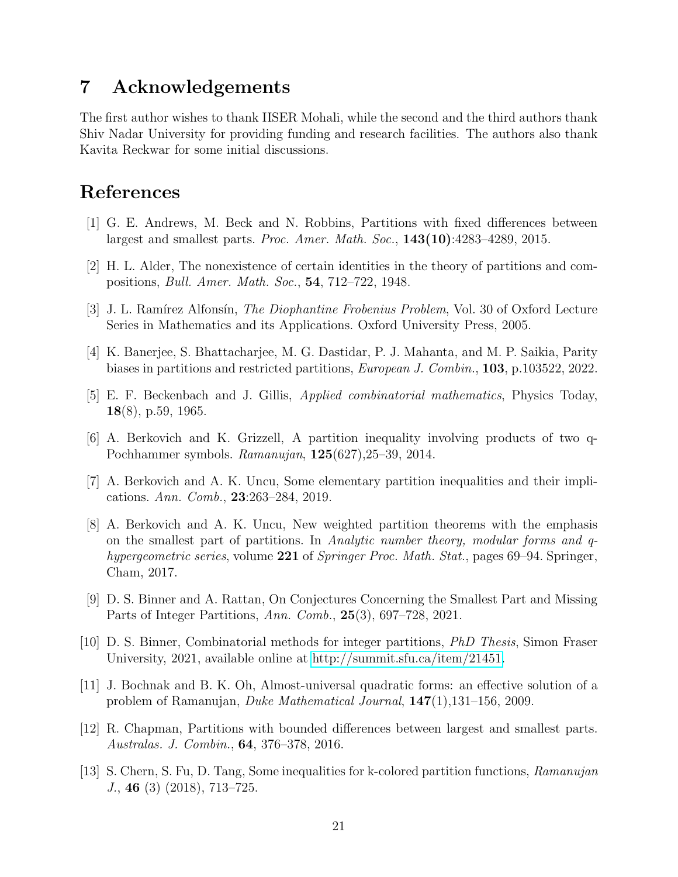### 7 Acknowledgements

The first author wishes to thank IISER Mohali, while the second and the third authors thank Shiv Nadar University for providing funding and research facilities. The authors also thank Kavita Reckwar for some initial discussions.

# <span id="page-20-3"></span>References

- [1] G. E. Andrews, M. Beck and N. Robbins, Partitions with fixed differences between largest and smallest parts. Proc. Amer. Math. Soc.,  $143(10):4283-4289$ , 2015.
- <span id="page-20-9"></span>[2] H. L. Alder, The nonexistence of certain identities in the theory of partitions and compositions, Bull. Amer. Math. Soc., 54, 712–722, 1948.
- <span id="page-20-2"></span>[3] J. L. Ramírez Alfonsín, *The Diophantine Frobenius Problem*, Vol. 30 of Oxford Lecture Series in Mathematics and its Applications. Oxford University Press, 2005.
- <span id="page-20-8"></span>[4] K. Banerjee, S. Bhattacharjee, M. G. Dastidar, P. J. Mahanta, and M. P. Saikia, Parity biases in partitions and restricted partitions, European J. Combin., 103, p.103522, 2022.
- <span id="page-20-0"></span>[5] E. F. Beckenbach and J. Gillis, Applied combinatorial mathematics, Physics Today, 18(8), p.59, 1965.
- <span id="page-20-6"></span>[6] A. Berkovich and K. Grizzell, A partition inequality involving products of two q-Pochhammer symbols. Ramanujan, 125(627),25–39, 2014.
- <span id="page-20-4"></span>[7] A. Berkovich and A. K. Uncu, Some elementary partition inequalities and their implications. Ann. Comb., 23:263–284, 2019.
- [8] A. Berkovich and A. K. Uncu, New weighted partition theorems with the emphasis on the smallest part of partitions. In Analytic number theory, modular forms and qhypergeometric series, volume 221 of Springer Proc. Math. Stat., pages 69–94. Springer, Cham, 2017.
- <span id="page-20-7"></span>[9] D. S. Binner and A. Rattan, On Conjectures Concerning the Smallest Part and Missing Parts of Integer Partitions, Ann. Comb., 25(3), 697–728, 2021.
- <span id="page-20-10"></span>[10] D. S. Binner, Combinatorial methods for integer partitions, PhD Thesis, Simon Fraser University, 2021, available online at [http://summit.sfu.ca/item/21451.](http://summit.sfu.ca/item/21451)
- <span id="page-20-11"></span>[11] J. Bochnak and B. K. Oh, Almost-universal quadratic forms: an effective solution of a problem of Ramanujan, Duke Mathematical Journal, 147(1),131–156, 2009.
- <span id="page-20-5"></span>[12] R. Chapman, Partitions with bounded differences between largest and smallest parts. Australas. J. Combin., 64, 376–378, 2016.
- <span id="page-20-1"></span>[13] S. Chern, S. Fu, D. Tang, Some inequalities for k-colored partition functions, Ramanujan J., 46 (3) (2018), 713–725.